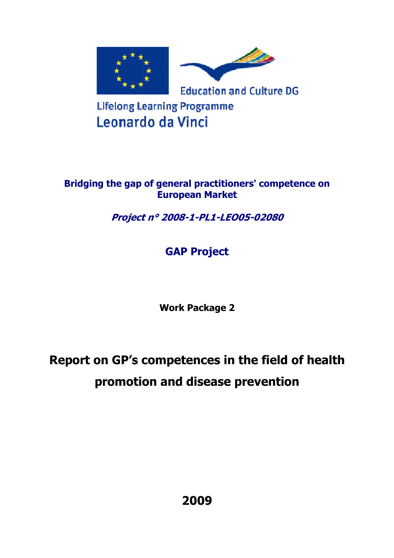

# **Bridging the gap of general practitioners' competence on European Market**

# **Project n° 2008 2008-1-PL1-LEO05-02080**

# **GAP Project**

**Work Package 2** 

# **Report on GP's competences in the field of health promotion and disease prevention**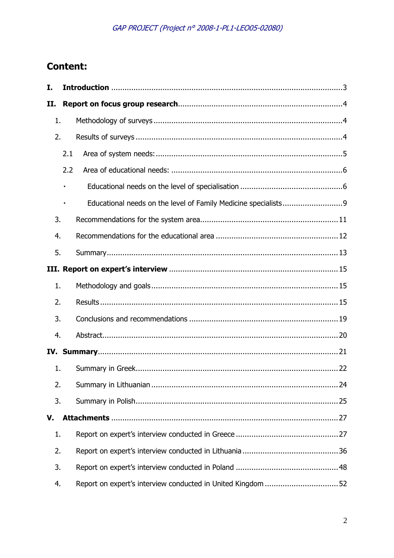# **Content:**

| I.  |     |  |  |  |  |  |
|-----|-----|--|--|--|--|--|
| II. |     |  |  |  |  |  |
| 1.  |     |  |  |  |  |  |
| 2.  |     |  |  |  |  |  |
|     | 2.1 |  |  |  |  |  |
|     | 2.2 |  |  |  |  |  |
|     |     |  |  |  |  |  |
|     |     |  |  |  |  |  |
| 3.  |     |  |  |  |  |  |
| 4.  |     |  |  |  |  |  |
| 5.  |     |  |  |  |  |  |
|     |     |  |  |  |  |  |
| 1.  |     |  |  |  |  |  |
| 2.  |     |  |  |  |  |  |
| 3.  |     |  |  |  |  |  |
| 4.  |     |  |  |  |  |  |
|     |     |  |  |  |  |  |
| 1.  |     |  |  |  |  |  |
| 2.  |     |  |  |  |  |  |
| 3.  |     |  |  |  |  |  |
| V.  |     |  |  |  |  |  |
| 1.  |     |  |  |  |  |  |
| 2.  |     |  |  |  |  |  |
| 3.  |     |  |  |  |  |  |
| 4.  |     |  |  |  |  |  |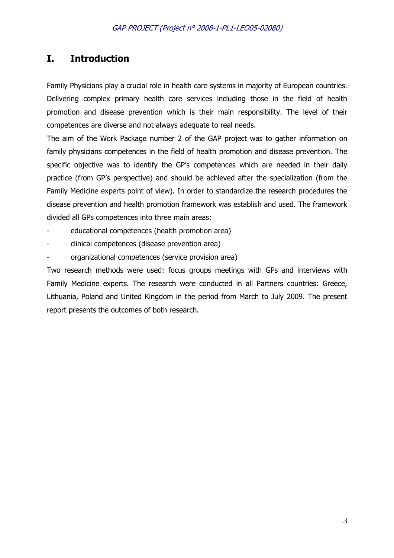# **I. Introduction**

Family Physicians play a crucial role in health care systems in majority of European countries. Delivering complex primary health care services including those in the field of health promotion and disease prevention which is their main responsibility. The level of their competences are diverse and not always adequate to real needs.

The aim of the Work Package number 2 of the GAP project was to gather information on family physicians competences in the field of health promotion and disease prevention. The specific objective was to identify the GP's competences which are needed in their daily practice (from GP's perspective) and should be achieved after the specialization (from the Family Medicine experts point of view). In order to standardize the research procedures the disease prevention and health promotion framework was establish and used. The framework divided all GPs competences into three main areas:

- educational competences (health promotion area)
- clinical competences (disease prevention area)
- organizational competences (service provision area)

Two research methods were used: focus groups meetings with GPs and interviews with Family Medicine experts. The research were conducted in all Partners countries: Greece, Lithuania, Poland and United Kingdom in the period from March to July 2009. The present report presents the outcomes of both research.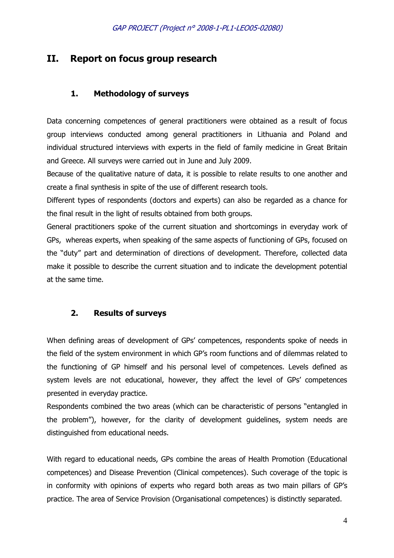# **II. Report on focus group research**

# **1. Methodology of surveys**

Data concerning competences of general practitioners were obtained as a result of focus group interviews conducted among general practitioners in Lithuania and Poland and individual structured interviews with experts in the field of family medicine in Great Britain and Greece. All surveys were carried out in June and July 2009.

Because of the qualitative nature of data, it is possible to relate results to one another and create a final synthesis in spite of the use of different research tools.

Different types of respondents (doctors and experts) can also be regarded as a chance for the final result in the light of results obtained from both groups.

General practitioners spoke of the current situation and shortcomings in everyday work of GPs, whereas experts, when speaking of the same aspects of functioning of GPs, focused on the "duty" part and determination of directions of development. Therefore, collected data make it possible to describe the current situation and to indicate the development potential at the same time.

# **2. Results of surveys**

When defining areas of development of GPs' competences, respondents spoke of needs in the field of the system environment in which GP's room functions and of dilemmas related to the functioning of GP himself and his personal level of competences. Levels defined as system levels are not educational, however, they affect the level of GPs' competences presented in everyday practice.

Respondents combined the two areas (which can be characteristic of persons "entangled in the problem"), however, for the clarity of development guidelines, system needs are distinguished from educational needs.

With regard to educational needs, GPs combine the areas of Health Promotion (Educational competences) and Disease Prevention (Clinical competences). Such coverage of the topic is in conformity with opinions of experts who regard both areas as two main pillars of GP's practice. The area of Service Provision (Organisational competences) is distinctly separated.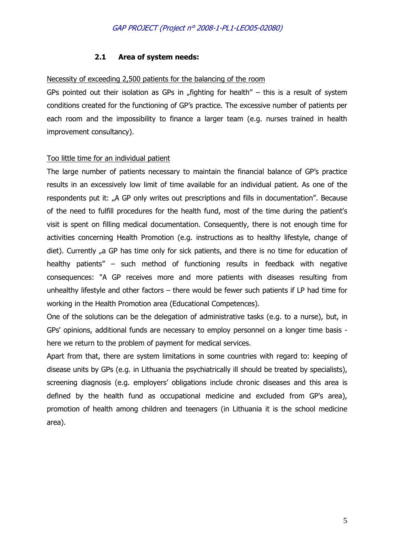# **2.1 Area of system needs:**

# Necessity of exceeding 2,500 patients for the balancing of the room

GPs pointed out their isolation as GPs in "fighting for health" – this is a result of system conditions created for the functioning of GP's practice. The excessive number of patients per each room and the impossibility to finance a larger team (e.g. nurses trained in health improvement consultancy).

# Too little time for an individual patient

The large number of patients necessary to maintain the financial balance of GP's practice results in an excessively low limit of time available for an individual patient. As one of the respondents put it: "A GP only writes out prescriptions and fills in documentation". Because of the need to fulfill procedures for the health fund, most of the time during the patient's visit is spent on filling medical documentation. Consequently, there is not enough time for activities concerning Health Promotion (e.g. instructions as to healthy lifestyle, change of diet). Currently "a GP has time only for sick patients, and there is no time for education of healthy patients" – such method of functioning results in feedback with negative consequences: "A GP receives more and more patients with diseases resulting from unhealthy lifestyle and other factors – there would be fewer such patients if LP had time for working in the Health Promotion area (Educational Competences).

One of the solutions can be the delegation of administrative tasks (e.g. to a nurse), but, in GPs' opinions, additional funds are necessary to employ personnel on a longer time basis here we return to the problem of payment for medical services.

Apart from that, there are system limitations in some countries with regard to: keeping of disease units by GPs (e.g. in Lithuania the psychiatrically ill should be treated by specialists), screening diagnosis (e.g. employers' obligations include chronic diseases and this area is defined by the health fund as occupational medicine and excluded from GP's area), promotion of health among children and teenagers (in Lithuania it is the school medicine area).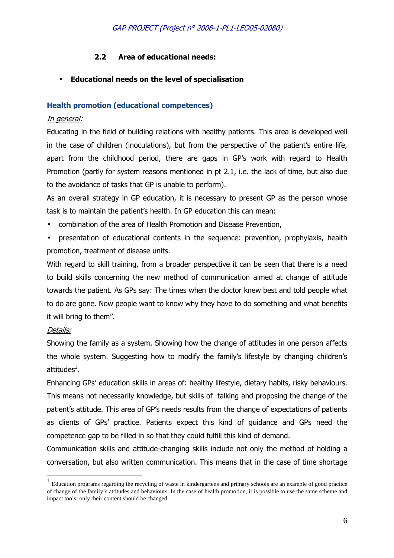# **2.2 Area of educational needs:**

# • **Educational needs on the level of specialisation**

### **Health promotion (educational competences)**

# In general:

Educating in the field of building relations with healthy patients. This area is developed well in the case of children (inoculations), but from the perspective of the patient's entire life, apart from the childhood period, there are gaps in GP's work with regard to Health Promotion (partly for system reasons mentioned in pt 2.1, i.e. the lack of time, but also due to the avoidance of tasks that GP is unable to perform).

As an overall strategy in GP education, it is necessary to present GP as the person whose task is to maintain the patient's health. In GP education this can mean:

- combination of the area of Health Promotion and Disease Prevention,
- presentation of educational contents in the sequence: prevention, prophylaxis, health promotion, treatment of disease units.

With regard to skill training, from a broader perspective it can be seen that there is a need to build skills concerning the new method of communication aimed at change of attitude towards the patient. As GPs say: The times when the doctor knew best and told people what to do are gone. Now people want to know why they have to do something and what benefits it will bring to them".

# Details:

l

Showing the family as a system. Showing how the change of attitudes in one person affects the whole system. Suggesting how to modify the family's lifestyle by changing children's attitudes $^1$ .

Enhancing GPs' education skills in areas of: healthy lifestyle, dietary habits, risky behaviours. This means not necessarily knowledge, but skills of talking and proposing the change of the patient's attitude. This area of GP's needs results from the change of expectations of patients as clients of GPs' practice. Patients expect this kind of guidance and GPs need the competence gap to be filled in so that they could fulfill this kind of demand.

Communication skills and attitude-changing skills include not only the method of holding a conversation, but also written communication. This means that in the case of time shortage

<sup>&</sup>lt;sup>1</sup> Education programs regarding the recycling of waste in kindergartens and primary schools are an example of good practice of change of the family's attitudes and behaviours. In the case of health promotion, it is possible to use the same scheme and impact tools; only their content should be changed.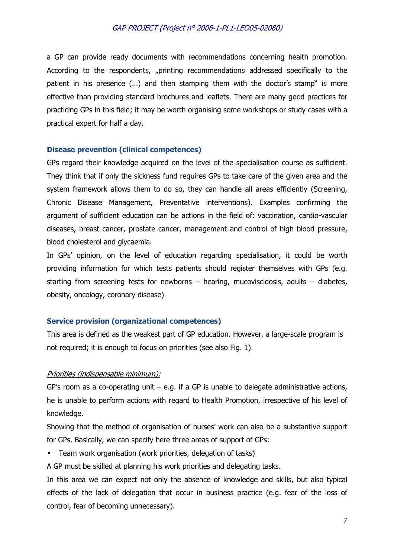a GP can provide ready documents with recommendations concerning health promotion. According to the respondents, "printing recommendations addressed specifically to the patient in his presence (…) and then stamping them with the doctor's stamp" is more effective than providing standard brochures and leaflets. There are many good practices for practicing GPs in this field; it may be worth organising some workshops or study cases with a practical expert for half a day.

#### **Disease prevention (clinical competences)**

GPs regard their knowledge acquired on the level of the specialisation course as sufficient. They think that if only the sickness fund requires GPs to take care of the given area and the system framework allows them to do so, they can handle all areas efficiently (Screening, Chronic Disease Management, Preventative interventions). Examples confirming the argument of sufficient education can be actions in the field of: vaccination, cardio-vascular diseases, breast cancer, prostate cancer, management and control of high blood pressure, blood cholesterol and glycaemia.

In GPs' opinion, on the level of education regarding specialisation, it could be worth providing information for which tests patients should register themselves with GPs (e.g. starting from screening tests for newborns – hearing, mucoviscidosis, adults – diabetes, obesity, oncology, coronary disease)

#### **Service provision (organizational competences)**

This area is defined as the weakest part of GP education. However, a large-scale program is not required; it is enough to focus on priorities (see also Fig. 1).

#### Priorities (indispensable minimum):

GP's room as a co-operating unit  $-$  e.g. if a GP is unable to delegate administrative actions, he is unable to perform actions with regard to Health Promotion, irrespective of his level of knowledge.

Showing that the method of organisation of nurses' work can also be a substantive support for GPs. Basically, we can specify here three areas of support of GPs:

- Team work organisation (work priorities, delegation of tasks)
- A GP must be skilled at planning his work priorities and delegating tasks.

In this area we can expect not only the absence of knowledge and skills, but also typical effects of the lack of delegation that occur in business practice (e.g. fear of the loss of control, fear of becoming unnecessary).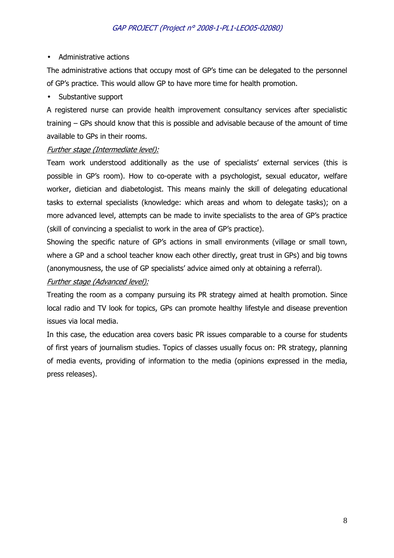# • Administrative actions

The administrative actions that occupy most of GP's time can be delegated to the personnel of GP's practice. This would allow GP to have more time for health promotion.

• Substantive support

A registered nurse can provide health improvement consultancy services after specialistic training – GPs should know that this is possible and advisable because of the amount of time available to GPs in their rooms.

# Further stage (Intermediate level):

Team work understood additionally as the use of specialists' external services (this is possible in GP's room). How to co-operate with a psychologist, sexual educator, welfare worker, dietician and diabetologist. This means mainly the skill of delegating educational tasks to external specialists (knowledge: which areas and whom to delegate tasks); on a more advanced level, attempts can be made to invite specialists to the area of GP's practice (skill of convincing a specialist to work in the area of GP's practice).

Showing the specific nature of GP's actions in small environments (village or small town, where a GP and a school teacher know each other directly, great trust in GPs) and big towns (anonymousness, the use of GP specialists' advice aimed only at obtaining a referral).

# Further stage (Advanced level):

Treating the room as a company pursuing its PR strategy aimed at health promotion. Since local radio and TV look for topics, GPs can promote healthy lifestyle and disease prevention issues via local media.

In this case, the education area covers basic PR issues comparable to a course for students of first years of journalism studies. Topics of classes usually focus on: PR strategy, planning of media events, providing of information to the media (opinions expressed in the media, press releases).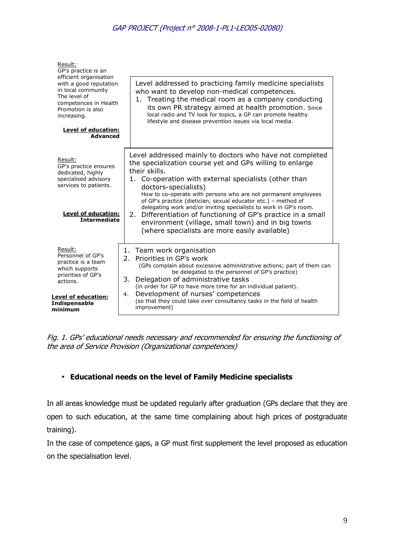| Result:<br>GP's practice is an                                                                                                                                             |                                                                                                                                                                                                                                                                                                                                                                                                                                                                                                                                                        |  |  |  |
|----------------------------------------------------------------------------------------------------------------------------------------------------------------------------|--------------------------------------------------------------------------------------------------------------------------------------------------------------------------------------------------------------------------------------------------------------------------------------------------------------------------------------------------------------------------------------------------------------------------------------------------------------------------------------------------------------------------------------------------------|--|--|--|
| efficient organisation<br>with a good reputation<br>in local community<br>The level of<br>competences in Health<br>Promotion is also<br>increasing.<br>Level of education: | Level addressed to practicing family medicine specialists<br>who want to develop non-medical competences.<br>1. Treating the medical room as a company conducting<br>its own PR strategy aimed at health promotion. Since<br>local radio and TV look for topics, a GP can promote healthy<br>lifestyle and disease prevention issues via local media.                                                                                                                                                                                                  |  |  |  |
| <b>Advanced</b>                                                                                                                                                            |                                                                                                                                                                                                                                                                                                                                                                                                                                                                                                                                                        |  |  |  |
| Result:<br>GP's practice ensures<br>dedicated, highly<br>specialised advisory<br>services to patients.<br><b>Level of education:</b><br><b>Intermediate</b>                | Level addressed mainly to doctors who have not completed<br>the specialization course yet and GPs willing to enlarge<br>their skills.<br>1. Co-operation with external specialists (other than<br>doctors-specialists)<br>How to co-operate with persons who are not permanent employees<br>of GP's practice (dietician, sexual educator etc.) - method of<br>delegating work and/or inviting specialists to work in GP's room.<br>2. Differentiation of functioning of GP's practice in a small<br>environment (village, small town) and in big towns |  |  |  |
|                                                                                                                                                                            | (where specialists are more easily available)                                                                                                                                                                                                                                                                                                                                                                                                                                                                                                          |  |  |  |
| Result:<br>Personnel of GP's<br>practice is a team<br>which supports<br>priorities of GP's<br>actions.                                                                     | 1. Team work organisation<br>Priorities in GP's work<br>2.<br>(GPs complain about excessive administrative actions; part of them can<br>be delegated to the personnel of GP's practice)<br>3.<br>Delegation of administrative tasks<br>(in order for GP to have more time for an individual patient).<br>Development of nurses' competences<br>4.<br>(so that they could take over consultancy tasks in the field of health<br>improvement)                                                                                                            |  |  |  |
| Level of education:<br>Indispensable<br>minimum                                                                                                                            |                                                                                                                                                                                                                                                                                                                                                                                                                                                                                                                                                        |  |  |  |

Fig. 1. GPs' educational needs necessary and recommended for ensuring the functioning of the area of Service Provision (Organizational competences)

# • **Educational needs on the level of Family Medicine specialists**

In all areas knowledge must be updated regularly after graduation (GPs declare that they are open to such education, at the same time complaining about high prices of postgraduate training).

In the case of competence gaps, a GP must first supplement the level proposed as education on the specialisation level.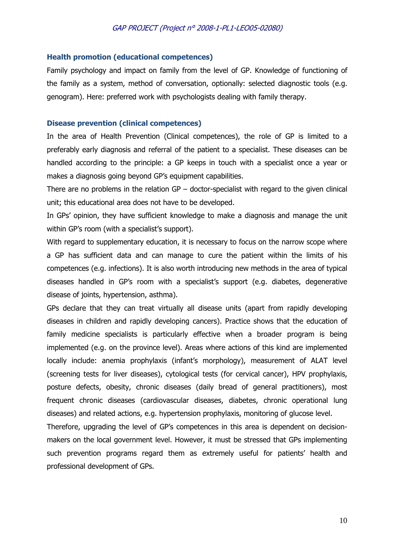#### **Health promotion (educational competences)**

Family psychology and impact on family from the level of GP. Knowledge of functioning of the family as a system, method of conversation, optionally: selected diagnostic tools (e.g. genogram). Here: preferred work with psychologists dealing with family therapy.

#### **Disease prevention (clinical competences)**

In the area of Health Prevention (Clinical competences), the role of GP is limited to a preferably early diagnosis and referral of the patient to a specialist. These diseases can be handled according to the principle: a GP keeps in touch with a specialist once a year or makes a diagnosis going beyond GP's equipment capabilities.

There are no problems in the relation  $GP -$  doctor-specialist with regard to the given clinical unit; this educational area does not have to be developed.

In GPs' opinion, they have sufficient knowledge to make a diagnosis and manage the unit within GP's room (with a specialist's support).

With regard to supplementary education, it is necessary to focus on the narrow scope where a GP has sufficient data and can manage to cure the patient within the limits of his competences (e.g. infections). It is also worth introducing new methods in the area of typical diseases handled in GP's room with a specialist's support (e.g. diabetes, degenerative disease of joints, hypertension, asthma).

GPs declare that they can treat virtually all disease units (apart from rapidly developing diseases in children and rapidly developing cancers). Practice shows that the education of family medicine specialists is particularly effective when a broader program is being implemented (e.g. on the province level). Areas where actions of this kind are implemented locally include: anemia prophylaxis (infant's morphology), measurement of ALAT level (screening tests for liver diseases), cytological tests (for cervical cancer), HPV prophylaxis, posture defects, obesity, chronic diseases (daily bread of general practitioners), most frequent chronic diseases (cardiovascular diseases, diabetes, chronic operational lung diseases) and related actions, e.g. hypertension prophylaxis, monitoring of glucose level.

Therefore, upgrading the level of GP's competences in this area is dependent on decisionmakers on the local government level. However, it must be stressed that GPs implementing such prevention programs regard them as extremely useful for patients' health and professional development of GPs.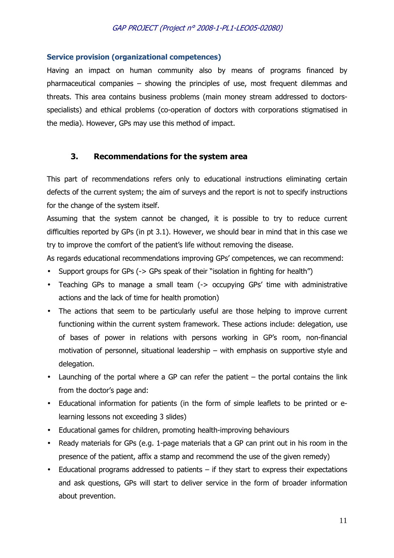#### **Service provision (organizational competences)**

Having an impact on human community also by means of programs financed by pharmaceutical companies – showing the principles of use, most frequent dilemmas and threats. This area contains business problems (main money stream addressed to doctorsspecialists) and ethical problems (co-operation of doctors with corporations stigmatised in the media). However, GPs may use this method of impact.

#### **3. Recommendations for the system area**

This part of recommendations refers only to educational instructions eliminating certain defects of the current system; the aim of surveys and the report is not to specify instructions for the change of the system itself.

Assuming that the system cannot be changed, it is possible to try to reduce current difficulties reported by GPs (in pt 3.1). However, we should bear in mind that in this case we try to improve the comfort of the patient's life without removing the disease.

As regards educational recommendations improving GPs' competences, we can recommend:

- Support groups for GPs (-> GPs speak of their "isolation in fighting for health")
- Teaching GPs to manage a small team (-> occupying GPs' time with administrative actions and the lack of time for health promotion)
- The actions that seem to be particularly useful are those helping to improve current functioning within the current system framework. These actions include: delegation, use of bases of power in relations with persons working in GP's room, non-financial motivation of personnel, situational leadership – with emphasis on supportive style and delegation.
- Launching of the portal where a GP can refer the patient the portal contains the link from the doctor's page and:
- Educational information for patients (in the form of simple leaflets to be printed or elearning lessons not exceeding 3 slides)
- Educational games for children, promoting health-improving behaviours
- Ready materials for GPs (e.g. 1-page materials that a GP can print out in his room in the presence of the patient, affix a stamp and recommend the use of the given remedy)
- Educational programs addressed to patients  $-$  if they start to express their expectations and ask questions, GPs will start to deliver service in the form of broader information about prevention.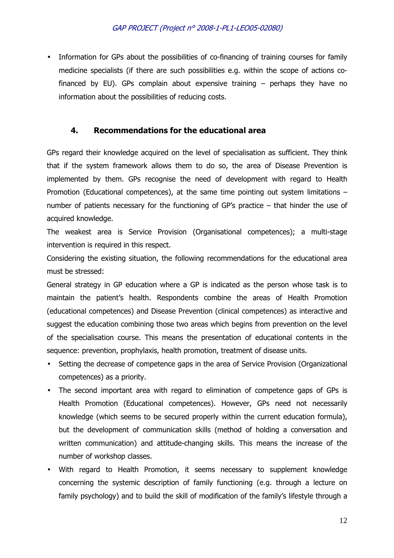Information for GPs about the possibilities of co-financing of training courses for family medicine specialists (if there are such possibilities e.g. within the scope of actions cofinanced by EU). GPs complain about expensive training  $-$  perhaps they have no information about the possibilities of reducing costs.

# **4. Recommendations for the educational area**

GPs regard their knowledge acquired on the level of specialisation as sufficient. They think that if the system framework allows them to do so, the area of Disease Prevention is implemented by them. GPs recognise the need of development with regard to Health Promotion (Educational competences), at the same time pointing out system limitations – number of patients necessary for the functioning of GP's practice – that hinder the use of acquired knowledge.

The weakest area is Service Provision (Organisational competences); a multi-stage intervention is required in this respect.

Considering the existing situation, the following recommendations for the educational area must be stressed:

General strategy in GP education where a GP is indicated as the person whose task is to maintain the patient's health. Respondents combine the areas of Health Promotion (educational competences) and Disease Prevention (clinical competences) as interactive and suggest the education combining those two areas which begins from prevention on the level of the specialisation course. This means the presentation of educational contents in the sequence: prevention, prophylaxis, health promotion, treatment of disease units.

- Setting the decrease of competence gaps in the area of Service Provision (Organizational competences) as a priority.
- The second important area with regard to elimination of competence gaps of GPs is Health Promotion (Educational competences). However, GPs need not necessarily knowledge (which seems to be secured properly within the current education formula), but the development of communication skills (method of holding a conversation and written communication) and attitude-changing skills. This means the increase of the number of workshop classes.
- With regard to Health Promotion, it seems necessary to supplement knowledge concerning the systemic description of family functioning (e.g. through a lecture on family psychology) and to build the skill of modification of the family's lifestyle through a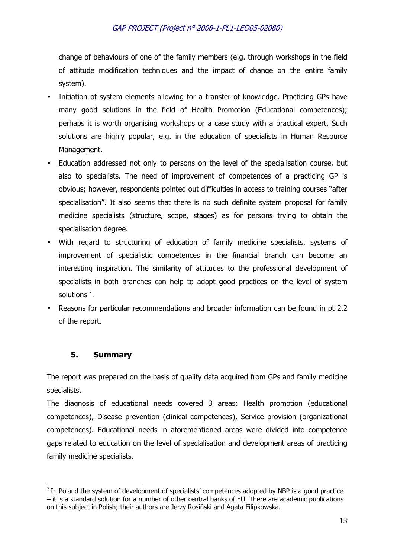change of behaviours of one of the family members (e.g. through workshops in the field of attitude modification techniques and the impact of change on the entire family system).

- Initiation of system elements allowing for a transfer of knowledge. Practicing GPs have many good solutions in the field of Health Promotion (Educational competences); perhaps it is worth organising workshops or a case study with a practical expert. Such solutions are highly popular, e.g. in the education of specialists in Human Resource Management.
- Education addressed not only to persons on the level of the specialisation course, but also to specialists. The need of improvement of competences of a practicing GP is obvious; however, respondents pointed out difficulties in access to training courses "after specialisation". It also seems that there is no such definite system proposal for family medicine specialists (structure, scope, stages) as for persons trying to obtain the specialisation degree.
- With regard to structuring of education of family medicine specialists, systems of improvement of specialistic competences in the financial branch can become an interesting inspiration. The similarity of attitudes to the professional development of specialists in both branches can help to adapt good practices on the level of system solutions  $2$ .
- Reasons for particular recommendations and broader information can be found in pt 2.2 of the report.

# **5. Summary**

 $\overline{a}$ 

The report was prepared on the basis of quality data acquired from GPs and family medicine specialists.

The diagnosis of educational needs covered 3 areas: Health promotion (educational competences), Disease prevention (clinical competences), Service provision (organizational competences). Educational needs in aforementioned areas were divided into competence gaps related to education on the level of specialisation and development areas of practicing family medicine specialists.

 $2$  In Poland the system of development of specialists' competences adopted by NBP is a good practice – it is a standard solution for a number of other central banks of EU. There are academic publications on this subject in Polish; their authors are Jerzy Rosiñski and Agata Filipkowska.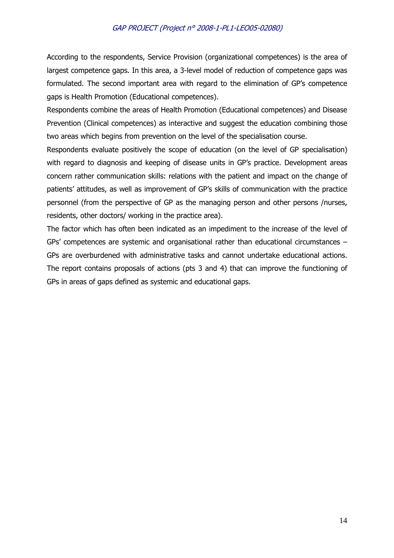According to the respondents, Service Provision (organizational competences) is the area of largest competence gaps. In this area, a 3-level model of reduction of competence gaps was formulated. The second important area with regard to the elimination of GP's competence gaps is Health Promotion (Educational competences).

Respondents combine the areas of Health Promotion (Educational competences) and Disease Prevention (Clinical competences) as interactive and suggest the education combining those two areas which begins from prevention on the level of the specialisation course.

Respondents evaluate positively the scope of education (on the level of GP specialisation) with regard to diagnosis and keeping of disease units in GP's practice. Development areas concern rather communication skills: relations with the patient and impact on the change of patients' attitudes, as well as improvement of GP's skills of communication with the practice personnel (from the perspective of GP as the managing person and other persons /nurses, residents, other doctors/ working in the practice area).

The factor which has often been indicated as an impediment to the increase of the level of GPs' competences are systemic and organisational rather than educational circumstances – GPs are overburdened with administrative tasks and cannot undertake educational actions. The report contains proposals of actions (pts 3 and 4) that can improve the functioning of GPs in areas of gaps defined as systemic and educational gaps.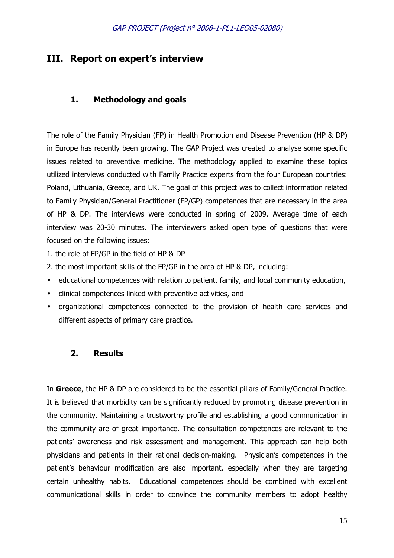# **III. Report on expert's interview**

# **1. Methodology and goals**

The role of the Family Physician (FP) in Health Promotion and Disease Prevention (HP & DP) in Europe has recently been growing. The GAP Project was created to analyse some specific issues related to preventive medicine. The methodology applied to examine these topics utilized interviews conducted with Family Practice experts from the four European countries: Poland, Lithuania, Greece, and UK. The goal of this project was to collect information related to Family Physician/General Practitioner (FP/GP) competences that are necessary in the area of HP & DP. The interviews were conducted in spring of 2009. Average time of each interview was 20-30 minutes. The interviewers asked open type of questions that were focused on the following issues:

- 1. the role of FP/GP in the field of HP & DP
- 2. the most important skills of the FP/GP in the area of HP & DP, including:
- educational competences with relation to patient, family, and local community education,
- clinical competences linked with preventive activities, and
- organizational competences connected to the provision of health care services and different aspects of primary care practice.

### **2. Results**

In **Greece**, the HP & DP are considered to be the essential pillars of Family/General Practice. It is believed that morbidity can be significantly reduced by promoting disease prevention in the community. Maintaining a trustworthy profile and establishing a good communication in the community are of great importance. The consultation competences are relevant to the patients' awareness and risk assessment and management. This approach can help both physicians and patients in their rational decision-making. Physician's competences in the patient's behaviour modification are also important, especially when they are targeting certain unhealthy habits. Educational competences should be combined with excellent communicational skills in order to convince the community members to adopt healthy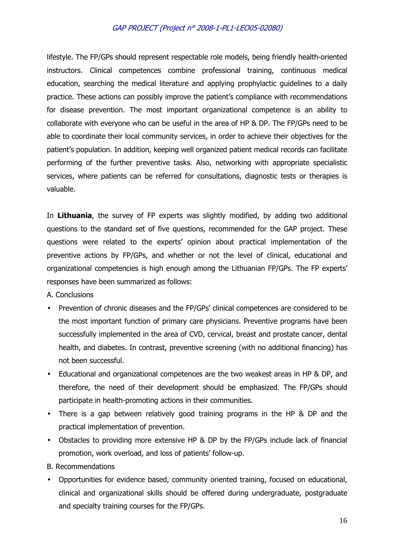lifestyle. The FP/GPs should represent respectable role models, being friendly health-oriented instructors. Clinical competences combine professional training, continuous medical education, searching the medical literature and applying prophylactic guidelines to a daily practice. These actions can possibly improve the patient's compliance with recommendations for disease prevention. The most important organizational competence is an ability to collaborate with everyone who can be useful in the area of HP & DP. The FP/GPs need to be able to coordinate their local community services, in order to achieve their objectives for the patient's population. In addition, keeping well organized patient medical records can facilitate performing of the further preventive tasks. Also, networking with appropriate specialistic services, where patients can be referred for consultations, diagnostic tests or therapies is valuable.

In **Lithuania**, the survey of FP experts was slightly modified, by adding two additional questions to the standard set of five questions, recommended for the GAP project. These questions were related to the experts' opinion about practical implementation of the preventive actions by FP/GPs, and whether or not the level of clinical, educational and organizational competencies is high enough among the Lithuanian FP/GPs. The FP experts' responses have been summarized as follows:

A. Conclusions

- Prevention of chronic diseases and the FP/GPs' clinical competences are considered to be the most important function of primary care physicians. Preventive programs have been successfully implemented in the area of CVD, cervical, breast and prostate cancer, dental health, and diabetes. In contrast, preventive screening (with no additional financing) has not been successful.
- Educational and organizational competences are the two weakest areas in HP & DP, and therefore, the need of their development should be emphasized. The FP/GPs should participate in health-promoting actions in their communities.
- There is a gap between relatively good training programs in the HP & DP and the practical implementation of prevention.
- Obstacles to providing more extensive HP & DP by the FP/GPs include lack of financial promotion, work overload, and loss of patients' follow-up.

B. Recommendations

• Opportunities for evidence based, community oriented training, focused on educational, clinical and organizational skills should be offered during undergraduate, postgraduate and specialty training courses for the FP/GPs.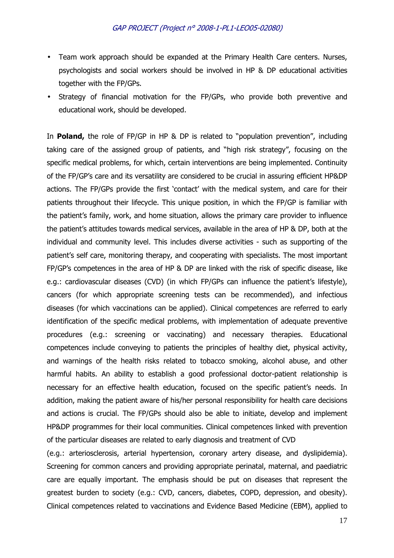- Team work approach should be expanded at the Primary Health Care centers. Nurses, psychologists and social workers should be involved in HP & DP educational activities together with the FP/GPs.
- Strategy of financial motivation for the FP/GPs, who provide both preventive and educational work, should be developed.

In **Poland,** the role of FP/GP in HP & DP is related to "population prevention", including taking care of the assigned group of patients, and "high risk strategy", focusing on the specific medical problems, for which, certain interventions are being implemented. Continuity of the FP/GP's care and its versatility are considered to be crucial in assuring efficient HP&DP actions. The FP/GPs provide the first 'contact' with the medical system, and care for their patients throughout their lifecycle. This unique position, in which the FP/GP is familiar with the patient's family, work, and home situation, allows the primary care provider to influence the patient's attitudes towards medical services, available in the area of HP & DP, both at the individual and community level. This includes diverse activities - such as supporting of the patient's self care, monitoring therapy, and cooperating with specialists. The most important FP/GP's competences in the area of HP & DP are linked with the risk of specific disease, like e.g.: cardiovascular diseases (CVD) (in which FP/GPs can influence the patient's lifestyle), cancers (for which appropriate screening tests can be recommended), and infectious diseases (for which vaccinations can be applied). Clinical competences are referred to early identification of the specific medical problems, with implementation of adequate preventive procedures (e.g.: screening or vaccinating) and necessary therapies. Educational competences include conveying to patients the principles of healthy diet, physical activity, and warnings of the health risks related to tobacco smoking, alcohol abuse, and other harmful habits. An ability to establish a good professional doctor-patient relationship is necessary for an effective health education, focused on the specific patient's needs. In addition, making the patient aware of his/her personal responsibility for health care decisions and actions is crucial. The FP/GPs should also be able to initiate, develop and implement HP&DP programmes for their local communities. Clinical competences linked with prevention of the particular diseases are related to early diagnosis and treatment of CVD

(e.g.: arteriosclerosis, arterial hypertension, coronary artery disease, and dyslipidemia). Screening for common cancers and providing appropriate perinatal, maternal, and paediatric care are equally important. The emphasis should be put on diseases that represent the greatest burden to society (e.g.: CVD, cancers, diabetes, COPD, depression, and obesity). Clinical competences related to vaccinations and Evidence Based Medicine (EBM), applied to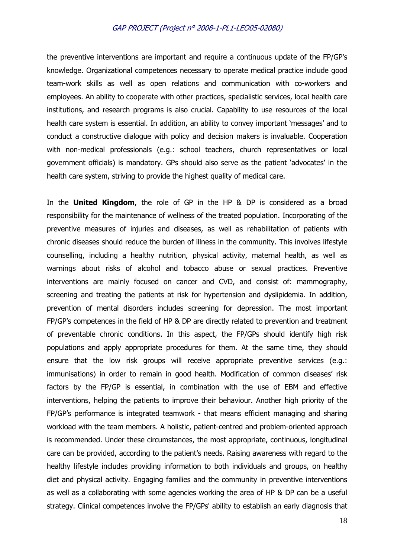the preventive interventions are important and require a continuous update of the FP/GP's knowledge. Organizational competences necessary to operate medical practice include good team-work skills as well as open relations and communication with co-workers and employees. An ability to cooperate with other practices, specialistic services, local health care institutions, and research programs is also crucial. Capability to use resources of the local health care system is essential. In addition, an ability to convey important 'messages' and to conduct a constructive dialogue with policy and decision makers is invaluable. Cooperation with non-medical professionals (e.g.: school teachers, church representatives or local government officials) is mandatory. GPs should also serve as the patient 'advocates' in the health care system, striving to provide the highest quality of medical care.

In the **United Kingdom**, the role of GP in the HP & DP is considered as a broad responsibility for the maintenance of wellness of the treated population. Incorporating of the preventive measures of injuries and diseases, as well as rehabilitation of patients with chronic diseases should reduce the burden of illness in the community. This involves lifestyle counselling, including a healthy nutrition, physical activity, maternal health, as well as warnings about risks of alcohol and tobacco abuse or sexual practices. Preventive interventions are mainly focused on cancer and CVD, and consist of: mammography, screening and treating the patients at risk for hypertension and dyslipidemia. In addition, prevention of mental disorders includes screening for depression. The most important FP/GP's competences in the field of HP & DP are directly related to prevention and treatment of preventable chronic conditions. In this aspect, the FP/GPs should identify high risk populations and apply appropriate procedures for them. At the same time, they should ensure that the low risk groups will receive appropriate preventive services (e.g.: immunisations) in order to remain in good health. Modification of common diseases' risk factors by the FP/GP is essential, in combination with the use of EBM and effective interventions, helping the patients to improve their behaviour. Another high priority of the FP/GP's performance is integrated teamwork - that means efficient managing and sharing workload with the team members. A holistic, patient-centred and problem-oriented approach is recommended. Under these circumstances, the most appropriate, continuous, longitudinal care can be provided, according to the patient's needs. Raising awareness with regard to the healthy lifestyle includes providing information to both individuals and groups, on healthy diet and physical activity. Engaging families and the community in preventive interventions as well as a collaborating with some agencies working the area of HP & DP can be a useful strategy. Clinical competences involve the FP/GPs' ability to establish an early diagnosis that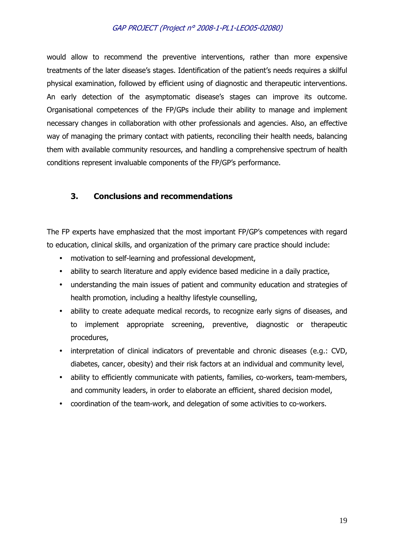would allow to recommend the preventive interventions, rather than more expensive treatments of the later disease's stages. Identification of the patient's needs requires a skilful physical examination, followed by efficient using of diagnostic and therapeutic interventions. An early detection of the asymptomatic disease's stages can improve its outcome. Organisational competences of the FP/GPs include their ability to manage and implement necessary changes in collaboration with other professionals and agencies. Also, an effective way of managing the primary contact with patients, reconciling their health needs, balancing them with available community resources, and handling a comprehensive spectrum of health conditions represent invaluable components of the FP/GP's performance.

# **3. Conclusions and recommendations**

The FP experts have emphasized that the most important FP/GP's competences with regard to education, clinical skills, and organization of the primary care practice should include:

- motivation to self-learning and professional development,
- ability to search literature and apply evidence based medicine in a daily practice,
- understanding the main issues of patient and community education and strategies of health promotion, including a healthy lifestyle counselling,
- ability to create adequate medical records, to recognize early signs of diseases, and to implement appropriate screening, preventive, diagnostic or therapeutic procedures,
- interpretation of clinical indicators of preventable and chronic diseases (e.g.: CVD, diabetes, cancer, obesity) and their risk factors at an individual and community level,
- ability to efficiently communicate with patients, families, co-workers, team-members, and community leaders, in order to elaborate an efficient, shared decision model,
- coordination of the team-work, and delegation of some activities to co-workers.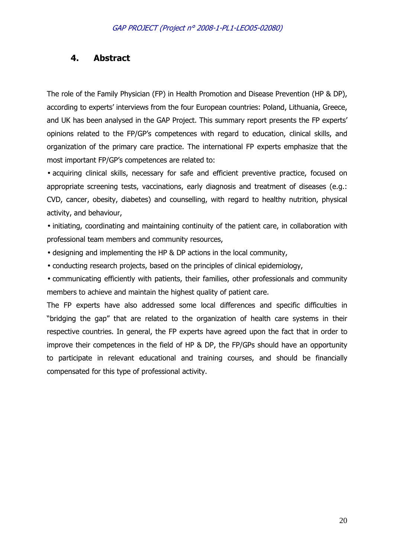# **4. Abstract**

The role of the Family Physician (FP) in Health Promotion and Disease Prevention (HP & DP), according to experts' interviews from the four European countries: Poland, Lithuania, Greece, and UK has been analysed in the GAP Project. This summary report presents the FP experts' opinions related to the FP/GP's competences with regard to education, clinical skills, and organization of the primary care practice. The international FP experts emphasize that the most important FP/GP's competences are related to:

• acquiring clinical skills, necessary for safe and efficient preventive practice, focused on appropriate screening tests, vaccinations, early diagnosis and treatment of diseases (e.g.: CVD, cancer, obesity, diabetes) and counselling, with regard to healthy nutrition, physical activity, and behaviour,

• initiating, coordinating and maintaining continuity of the patient care, in collaboration with professional team members and community resources,

- designing and implementing the HP & DP actions in the local community,
- conducting research projects, based on the principles of clinical epidemiology,

• communicating efficiently with patients, their families, other professionals and community members to achieve and maintain the highest quality of patient care.

The FP experts have also addressed some local differences and specific difficulties in "bridging the gap" that are related to the organization of health care systems in their respective countries. In general, the FP experts have agreed upon the fact that in order to improve their competences in the field of HP & DP, the FP/GPs should have an opportunity to participate in relevant educational and training courses, and should be financially compensated for this type of professional activity.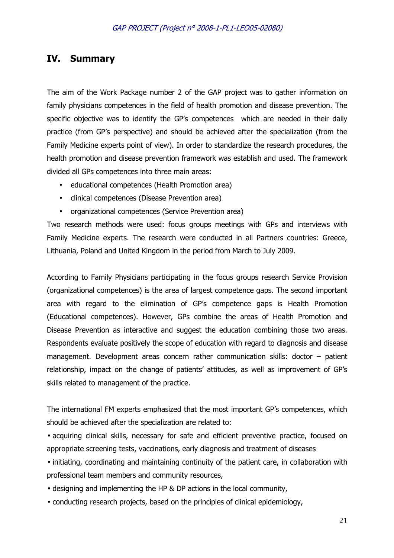# **IV. Summary**

The aim of the Work Package number 2 of the GAP project was to gather information on family physicians competences in the field of health promotion and disease prevention. The specific objective was to identify the GP's competences which are needed in their daily practice (from GP's perspective) and should be achieved after the specialization (from the Family Medicine experts point of view). In order to standardize the research procedures, the health promotion and disease prevention framework was establish and used. The framework divided all GPs competences into three main areas:

- educational competences (Health Promotion area)
- clinical competences (Disease Prevention area)
- organizational competences (Service Prevention area)

Two research methods were used: focus groups meetings with GPs and interviews with Family Medicine experts. The research were conducted in all Partners countries: Greece, Lithuania, Poland and United Kingdom in the period from March to July 2009.

According to Family Physicians participating in the focus groups research Service Provision (organizational competences) is the area of largest competence gaps. The second important area with regard to the elimination of GP's competence gaps is Health Promotion (Educational competences). However, GPs combine the areas of Health Promotion and Disease Prevention as interactive and suggest the education combining those two areas. Respondents evaluate positively the scope of education with regard to diagnosis and disease management. Development areas concern rather communication skills: doctor – patient relationship, impact on the change of patients' attitudes, as well as improvement of GP's skills related to management of the practice.

The international FM experts emphasized that the most important GP's competences, which should be achieved after the specialization are related to:

• acquiring clinical skills, necessary for safe and efficient preventive practice, focused on appropriate screening tests, vaccinations, early diagnosis and treatment of diseases

• initiating, coordinating and maintaining continuity of the patient care, in collaboration with professional team members and community resources,

- designing and implementing the HP & DP actions in the local community,
- conducting research projects, based on the principles of clinical epidemiology,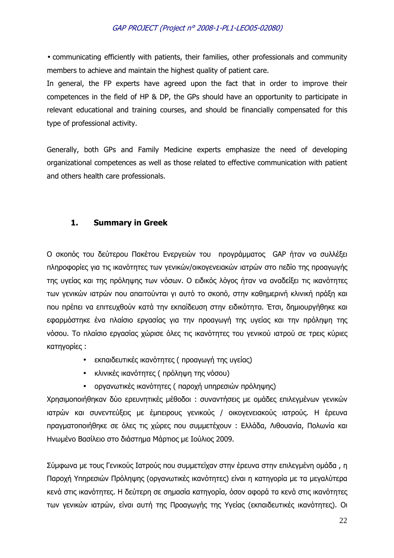• communicating efficiently with patients, their families, other professionals and community members to achieve and maintain the highest quality of patient care.

In general, the FP experts have agreed upon the fact that in order to improve their competences in the field of HP & DP, the GPs should have an opportunity to participate in relevant educational and training courses, and should be financially compensated for this type of professional activity.

Generally, both GPs and Family Medicine experts emphasize the need of developing organizational competences as well as those related to effective communication with patient and others health care professionals.

# **1. Summary in Greek**

Ο σκοπός του δεύτερου Πακέτου Ενεργειών του προγράµµατος GAP ήταν να συλλέξει πληροφορίες για τις ικανότητες των γενικών/οικογενειακών ιατρών στο πεδίο της προαγωγής της υγείας και της πρόληψης των νόσων. Ο ειδικός λόγος ήταν να αναδείξει τις ικανότητες των γενικών ιατρών που απαιτούνται γι αυτό το σκοπό, στην καθηµερινή κλινική πράξη και που πρέπει να επιτευχθούν κατά την εκπαίδευση στην ειδικότητα. Έτσι, δηµιουργήθηκε και εφαρµόστηκε ένα πλαίσιο εργασίας για την προαγωγή της υγείας και την πρόληψη της νόσου. Το πλαίσιο εργασίας χώρισε όλες τις ικανότητες του γενικού ιατρού σε τρεις κύριες κατηγορίες :

- εκπαιδευτικές ικανότητες ( προαγωγή της υγείας)
- κλινικές ικανότητες ( πρόληψη της νόσου)
- οργανωτικές ικανότητες ( παροχή υπηρεσιών πρόληψης)

Χρησιµοποιήθηκαν δύο ερευνητικές µέθοδοι : συναντήσεις µε οµάδες επιλεγµένων γενικών ιατρών και συνεντεύξεις µε έµπειρους γενικούς / οικογενειακούς ιατρούς. Η έρευνα πραγµατοποιήθηκε σε όλες τις χώρες που συµµετέχουν : Ελλάδα, Λιθουανία, Πολωνία και Ηνωµένο Βασίλειο στο διάστηµα Μάρτιος µε Ιούλιος 2009.

Σύµφωνα µε τους Γενικούς Ιατρούς που συµµετείχαν στην έρευνα στην επιλεγµένη οµάδα , η Παροχή Υπηρεσιών Πρόληψης (οργανωτικές ικανότητες) είναι η κατηγορία µε τα µεγαλύτερα κενά στις ικανότητες. Η δεύτερη σε σηµασία κατηγορία, όσον αφορά τα κενά στις ικανότητες των γενικών ιατρών, είναι αυτή της Προαγωγής της Υγείας (εκπαιδευτικές ικανότητες). Οι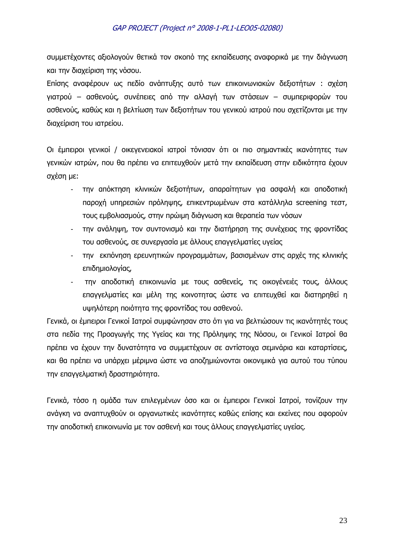συµµετέχοντες αξιολογούν θετικά τον σκοπό της εκπαίδευσης αναφορικά µε την διάγνωση και την διαχείριση της νόσου.

Επίσης αναφέρουν ως πεδίο ανάπτυξης αυτό των επικοινωνιακών δεξιοτήτων : σχέση γιατρού – ασθενούς, συνέπειες από την αλλαγή των στάσεων – συµπεριφορών του ασθενούς, καθώς και η βελτίωση των δεξιοτήτων του γενικού ιατρού που σχετίζονται µε την διαχείριση του ιατρείου.

Οι έμπειροι γενικοί / οικεγενειακοί ιατροί τόνισαν ότι οι πιο σημαντικές ικανότητες των γενικών ιατρών, που θα πρέπει να επιτευχθούν µετά την εκπαίδευση στην ειδικότητα έχουν σχέση µε:

- την απόκτηση κλινικών δεξιοτήτων, απαραίτητων για ασφαλή και αποδοτική παροχή υπηρεσιών πρόληψης, επικεντρωµένων στα κατάλληλα screening τεστ, τους εµβολιασµούς, στην πρώιµη διάγνωση και θεραπεία των νόσων
- την ανάληψη, τον συντονισµό και την διατήρηση της συνέχειας της φροντίδας του ασθενούς, σε συνεργασία µε άλλους επαγγελµατίες υγείας
- την εκπόνηση ερευνητικών προγραµµάτων, βασισµένων στις αρχές της κλινικής επιδηµιολογίας,
- την αποδοτική επικοινωνία µε τους ασθενείς, τις οικογένειές τους, άλλους επαγγελµατίες και µέλη της κοινοτητας ώστε να επιτευχθεί και διατηρηθεί η υψηλότερη ποιότητα της φροντίδας του ασθενού.

Γενικά, οι έµπειροι Γενικοί Ιατροί συµφώνησαν στο ότι για να βελτιώσουν τις ικανότητές τους στα πεδία της Προαγωγής της Υγείας και της Πρόληψης της Νόσου, οι Γενικοί Ιατροί θα πρέπει να έχουν την δυνατότητα να συµµετέχουν σε αντίστοιχα σεµινάρια και καταρτίσεις, και θα πρέπει να υπάρχει µέριµνα ώστε να αποζηµιώνονται οικονιµικά για αυτού του τύπου την επαγγελµατική δραστηριότητα.

Γενικά, τόσο η οµάδα των επιλεγµένων όσο και οι έµπειροι Γενικοί Ιατροί, τονίζουν την ανάγκη να αναπτυχθούν οι οργανωτικές ικανότητες καθώς επίσης και εκείνες που αφορούν την αποδοτική επικοινωνία µε τον ασθενή και τους άλλους επαγγελµατίες υγείας.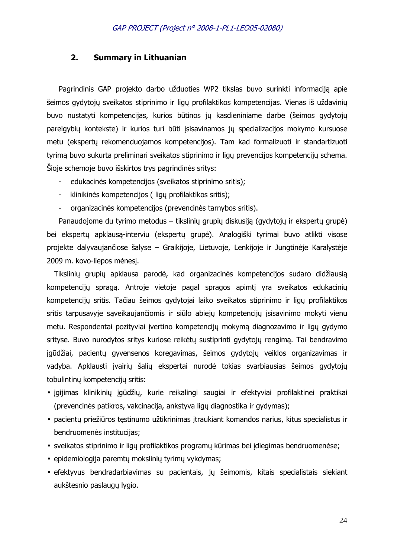#### **2. Summary in Lithuanian**

Pagrindinis GAP projekto darbo užduoties WP2 tikslas buvo surinkti informaciją apie šeimos gydytojų sveikatos stiprinimo ir ligų profilaktikos kompetencijas. Vienas iš uždavinių buvo nustatyti kompetencijas, kurios būtinos jų kasdieniniame darbe (šeimos gydytojų pareigybių kontekste) ir kurios turi būti įsisavinamos jų specializacijos mokymo kursuose metu (ekspertų rekomenduojamos kompetencijos). Tam kad formalizuoti ir standartizuoti tyrimą buvo sukurta preliminari sveikatos stiprinimo ir ligų prevencijos kompetencijų schema. Šioje schemoje buvo išskirtos trys pagrindinės sritys:

- edukacinės kompetencijos (sveikatos stiprinimo sritis);
- klinikinės kompetencijos ( ligų profilaktikos sritis);
- organizacinės kompetencijos (prevencinės tarnybos sritis).

Panaudojome du tyrimo metodus – tikslinių grupių diskusiją (gydytojų ir ekspertų grupė) bei ekspertų apklausą-interviu (ekspertų grupė). Analogiški tyrimai buvo atlikti visose projekte dalyvaujančiose šalyse – Graikijoje, Lietuvoje, Lenkijoje ir Jungtinėje Karalystėje 2009 m. kovo-liepos mėnesį.

Tikslinių grupių apklausa parodė, kad organizacinės kompetencijos sudaro didžiausią kompetencijų spragą. Antroje vietoje pagal spragos apimtį yra sveikatos edukacinių kompetencijų sritis. Tačiau šeimos gydytojai laiko sveikatos stiprinimo ir ligų profilaktikos sritis tarpusavyje sąveikaujančiomis ir siūlo abiejų kompetencijų įsisavinimo mokyti vienu metu. Respondentai pozityviai įvertino kompetencijų mokymą diagnozavimo ir ligų gydymo srityse. Buvo nurodytos sritys kuriose reikėtų sustiprinti gydytojų rengimą. Tai bendravimo įgūdžiai, pacientų gyvensenos koregavimas, šeimos gydytojų veiklos organizavimas ir vadyba. Apklausti įvairių šalių ekspertai nurodė tokias svarbiausias šeimos gydytojų tobulintinų kompetencijų sritis:

- įgijimas klinikinių įgūdžių, kurie reikalingi saugiai ir efektyviai profilaktinei praktikai (prevencinės patikros, vakcinacija, ankstyva ligų diagnostika ir gydymas);
- pacientų priežiūros tęstinumo užtikrinimas įtraukiant komandos narius, kitus specialistus ir bendruomenės institucijas;
- sveikatos stiprinimo ir ligų profilaktikos programų kūrimas bei įdiegimas bendruomenėse;
- epidemiologija paremtų mokslinių tyrimų vykdymas;
- efektyvus bendradarbiavimas su pacientais, jų šeimomis, kitais specialistais siekiant aukštesnio paslaugų lygio.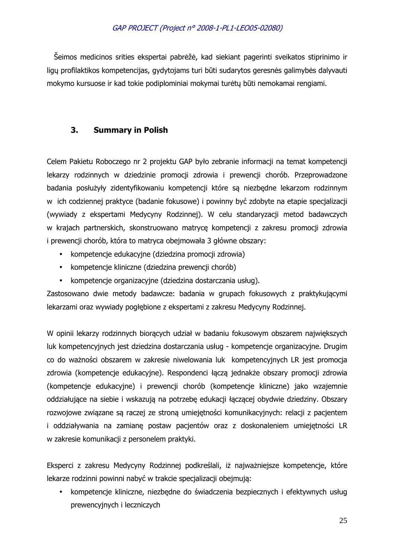Šeimos medicinos srities ekspertai pabrėžė, kad siekiant pagerinti sveikatos stiprinimo ir ligų profilaktikos kompetencijas, gydytojams turi būti sudarytos geresnės galimybės dalyvauti mokymo kursuose ir kad tokie podiplominiai mokymai turėtų būti nemokamai rengiami.

# **3. Summary in Polish**

Celem Pakietu Roboczego nr 2 projektu GAP było zebranie informacji na temat kompetencji lekarzy rodzinnych w dziedzinie promocji zdrowia i prewencji chorób. Przeprowadzone badania posłużyły zidentyfikowaniu kompetencji które są niezbędne lekarzom rodzinnym w ich codziennej praktyce (badanie fokusowe) i powinny być zdobyte na etapie specjalizacji (wywiady z ekspertami Medycyny Rodzinnej). W celu standaryzacji metod badawczych w krajach partnerskich, skonstruowano matrycę kompetencji z zakresu promocji zdrowia i prewencji chorób, która to matryca obejmowała 3 główne obszary:

- kompetencje edukacyjne (dziedzina promocji zdrowia)
- kompetencje kliniczne (dziedzina prewencji chorób)
- kompetencje organizacyjne (dziedzina dostarczania usług).

Zastosowano dwie metody badawcze: badania w grupach fokusowych z praktykującymi lekarzami oraz wywiady pogłębione z ekspertami z zakresu Medycyny Rodzinnej.

W opinii lekarzy rodzinnych biorących udział w badaniu fokusowym obszarem największych luk kompetencyjnych jest dziedzina dostarczania usług - kompetencje organizacyjne. Drugim co do ważności obszarem w zakresie niwelowania luk kompetencyjnych LR jest promocja zdrowia (kompetencje edukacyjne). Respondenci łączą jednakże obszary promocji zdrowia (kompetencje edukacyjne) i prewencji chorób (kompetencje kliniczne) jako wzajemnie oddziałujące na siebie i wskazują na potrzebę edukacji łączącej obydwie dziedziny. Obszary rozwojowe związane są raczej ze stroną umiejętności komunikacyjnych: relacji z pacjentem i oddziaływania na zamianę postaw pacjentów oraz z doskonaleniem umiejętności LR w zakresie komunikacji z personelem praktyki.

Eksperci z zakresu Medycyny Rodzinnej podkreślali, iż najważniejsze kompetencje, które lekarze rodzinni powinni nabyć w trakcie specjalizacji obejmują:

• kompetencje kliniczne, niezbędne do świadczenia bezpiecznych i efektywnych usług prewencyjnych i leczniczych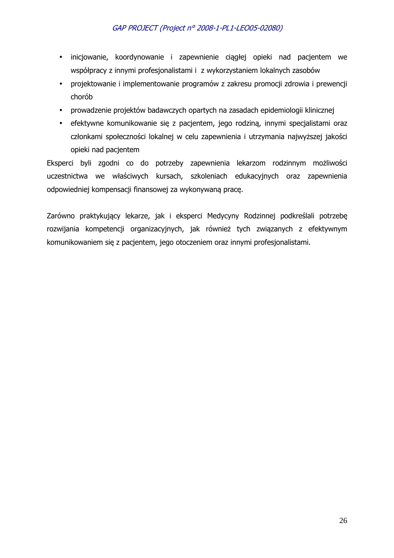- inicjowanie, koordynowanie i zapewnienie ciągłej opieki nad pacjentem we współpracy z innymi profesjonalistami i z wykorzystaniem lokalnych zasobów
- projektowanie i implementowanie programów z zakresu promocji zdrowia i prewencji chorób
- prowadzenie projektów badawczych opartych na zasadach epidemiologii klinicznej
- efektywne komunikowanie się z pacjentem, jego rodziną, innymi specjalistami oraz członkami społeczności lokalnej w celu zapewnienia i utrzymania najwyższej jakości opieki nad pacjentem

Eksperci byli zgodni co do potrzeby zapewnienia lekarzom rodzinnym możliwości uczestnictwa we właściwych kursach, szkoleniach edukacyjnych oraz zapewnienia odpowiedniej kompensacji finansowej za wykonywaną pracę.

Zarówno praktykujący lekarze, jak i eksperci Medycyny Rodzinnej podkreślali potrzebę rozwijania kompetencji organizacyjnych, jak również tych związanych z efektywnym komunikowaniem się z pacjentem, jego otoczeniem oraz innymi profesjonalistami.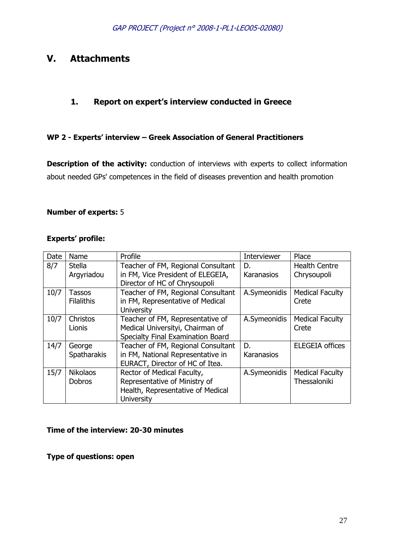# **V. Attachments**

# **1. Report on expert's interview conducted in Greece**

# **WP 2 - Experts' interview – Greek Association of General Practitioners**

**Description of the activity:** conduction of interviews with experts to collect information about needed GPs' competences in the field of diseases prevention and health promotion

#### **Number of experts:** 5

#### **Experts' profile:**

| <b>Date</b> | Name                             | Profile                                                                                                               | <b>Interviewer</b> | Place                                  |
|-------------|----------------------------------|-----------------------------------------------------------------------------------------------------------------------|--------------------|----------------------------------------|
| 8/7         | <b>Stella</b>                    | Teacher of FM, Regional Consultant                                                                                    | D.                 | <b>Health Centre</b>                   |
|             | Argyriadou                       | in FM, Vice President of ELEGEIA,<br>Director of HC of Chrysoupoli                                                    | Karanasios         | Chrysoupoli                            |
| 10/7        | Tassos<br><b>Filalithis</b>      | Teacher of FM, Regional Consultant<br>in FM, Representative of Medical<br><b>University</b>                           | A.Symeonidis       | <b>Medical Faculty</b><br>Crete        |
| 10/7        | Christos<br>Lionis               | Teacher of FM, Representative of<br>Medical Universityi, Chairman of<br>Specialty Final Examination Board             | A.Symeonidis       | <b>Medical Faculty</b><br>Crete        |
| 14/7        | George<br><b>Spatharakis</b>     | Teacher of FM, Regional Consultant<br>in FM, National Representative in<br>EURACT, Director of HC of Itea.            | D.<br>Karanasios   | <b>ELEGEIA offices</b>                 |
| 15/7        | <b>Nikolaos</b><br><b>Dobros</b> | Rector of Medical Faculty,<br>Representative of Ministry of<br>Health, Representative of Medical<br><b>University</b> | A.Symeonidis       | <b>Medical Faculty</b><br>Thessaloniki |

### **Time of the interview: 20-30 minutes**

**Type of questions: open**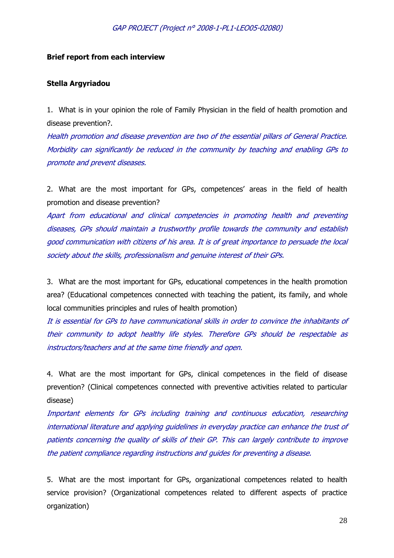#### **Brief report from each interview**

#### **Stella Argyriadou**

1. What is in your opinion the role of Family Physician in the field of health promotion and disease prevention?.

Health promotion and disease prevention are two of the essential pillars of General Practice. Morbidity can significantly be reduced in the community by teaching and enabling GPs to promote and prevent diseases.

2. What are the most important for GPs, competences' areas in the field of health promotion and disease prevention?

Apart from educational and clinical competencies in promoting health and preventing diseases, GPs should maintain a trustworthy profile towards the community and establish good communication with citizens of his area. It is of great importance to persuade the local society about the skills, professionalism and genuine interest of their GPs.

3. What are the most important for GPs, educational competences in the health promotion area? (Educational competences connected with teaching the patient, its family, and whole local communities principles and rules of health promotion)

It is essential for GPs to have communicational skills in order to convince the inhabitants of their community to adopt healthy life styles. Therefore GPs should be respectable as instructors/teachers and at the same time friendly and open.

4. What are the most important for GPs, clinical competences in the field of disease prevention? (Clinical competences connected with preventive activities related to particular disease)

Important elements for GPs including training and continuous education, researching international literature and applying guidelines in everyday practice can enhance the trust of patients concerning the quality of skills of their GP. This can largely contribute to improve the patient compliance regarding instructions and guides for preventing a disease.

5. What are the most important for GPs, organizational competences related to health service provision? (Organizational competences related to different aspects of practice organization)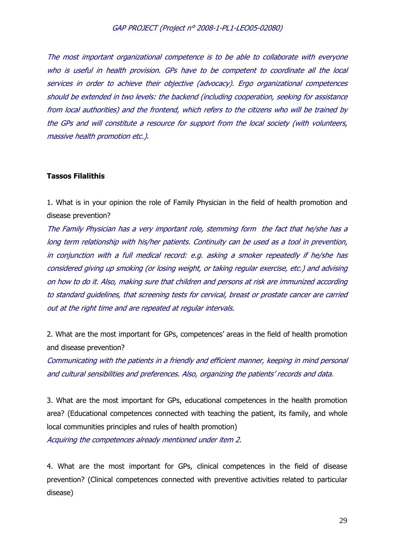The most important organizational competence is to be able to collaborate with everyone who is useful in health provision. GPs have to be competent to coordinate all the local services in order to achieve their objective (advocacy). Ergo organizational competences should be extended in two levels: the backend (including cooperation, seeking for assistance from local authorities) and the frontend, which refers to the citizens who will be trained by the GPs and will constitute a resource for support from the local society (with volunteers, massive health promotion etc.).

#### **Tassos Filalithis**

1. What is in your opinion the role of Family Physician in the field of health promotion and disease prevention?

The Family Physician has a very important role, stemming form the fact that he/she has a long term relationship with his/her patients. Continuity can be used as a tool in prevention, in conjunction with a full medical record: e.g. asking a smoker repeatedly if he/she has considered giving up smoking (or losing weight, or taking regular exercise, etc.) and advising on how to do it. Also, making sure that children and persons at risk are immunized according to standard guidelines, that screening tests for cervical, breast or prostate cancer are carried out at the right time and are repeated at regular intervals.

2. What are the most important for GPs, competences' areas in the field of health promotion and disease prevention?

Communicating with the patients in a friendly and efficient manner, keeping in mind personal and cultural sensibilities and preferences. Also, organizing the patients' records and data.

3. What are the most important for GPs, educational competences in the health promotion area? (Educational competences connected with teaching the patient, its family, and whole local communities principles and rules of health promotion)

Acquiring the competences already mentioned under item 2.

4. What are the most important for GPs, clinical competences in the field of disease prevention? (Clinical competences connected with preventive activities related to particular disease)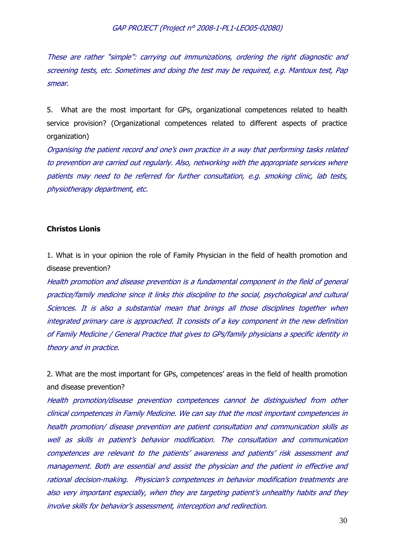These are rather "simple": carrying out immunizations, ordering the right diagnostic and screening tests, etc. Sometimes and doing the test may be required, e.g. Mantoux test, Pap smear.

5. What are the most important for GPs, organizational competences related to health service provision? (Organizational competences related to different aspects of practice organization)

Organising the patient record and one's own practice in a way that performing tasks related to prevention are carried out regularly. Also, networking with the appropriate services where patients may need to be referred for further consultation, e.g. smoking clinic, lab tests, physiotherapy department, etc.

#### **Christos Lionis**

1. What is in your opinion the role of Family Physician in the field of health promotion and disease prevention?

Health promotion and disease prevention is a fundamental component in the field of general practice/family medicine since it links this discipline to the social, psychological and cultural Sciences. It is also a substantial mean that brings all those disciplines together when integrated primary care is approached. It consists of a key component in the new definition of Family Medicine / General Practice that gives to GPs/family physicians a specific identity in theory and in practice.

2. What are the most important for GPs, competences' areas in the field of health promotion and disease prevention?

Health promotion/disease prevention competences cannot be distinguished from other clinical competences in Family Medicine. We can say that the most important competences in health promotion/ disease prevention are patient consultation and communication skills as well as skills in patient's behavior modification. The consultation and communication competences are relevant to the patients' awareness and patients' risk assessment and management. Both are essential and assist the physician and the patient in effective and rational decision-making. Physician's competences in behavior modification treatments are also very important especially, when they are targeting patient's unhealthy habits and they involve skills for behavior's assessment, interception and redirection.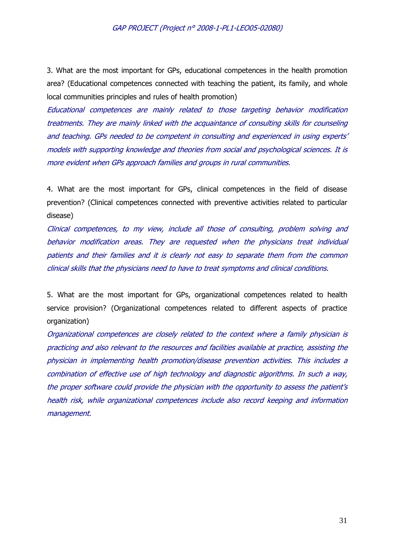3. What are the most important for GPs, educational competences in the health promotion area? (Educational competences connected with teaching the patient, its family, and whole local communities principles and rules of health promotion)

Educational competences are mainly related to those targeting behavior modification treatments. They are mainly linked with the acquaintance of consulting skills for counseling and teaching. GPs needed to be competent in consulting and experienced in using experts' models with supporting knowledge and theories from social and psychological sciences. It is more evident when GPs approach families and groups in rural communities.

4. What are the most important for GPs, clinical competences in the field of disease prevention? (Clinical competences connected with preventive activities related to particular disease)

Clinical competences, to my view, include all those of consulting, problem solving and behavior modification areas. They are requested when the physicians treat individual patients and their families and it is clearly not easy to separate them from the common clinical skills that the physicians need to have to treat symptoms and clinical conditions.

5. What are the most important for GPs, organizational competences related to health service provision? (Organizational competences related to different aspects of practice organization)

Organizational competences are closely related to the context where a family physician is practicing and also relevant to the resources and facilities available at practice, assisting the physician in implementing health promotion/disease prevention activities. This includes a combination of effective use of high technology and diagnostic algorithms. In such a way, the proper software could provide the physician with the opportunity to assess the patient's health risk, while organizational competences include also record keeping and information management.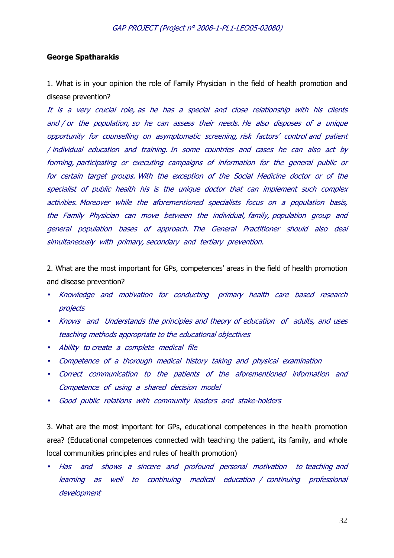#### **George Spatharakis**

1. What is in your opinion the role of Family Physician in the field of health promotion and disease prevention?

It is a very crucial role, as he has a special and close relationship with his clients and / or the population, so he can assess their needs. He also disposes of a unique opportunity for counselling on asymptomatic screening, risk factors' control and patient / individual education and training. In some countries and cases he can also act by forming, participating or executing campaigns of information for the general public or for certain target groups. With the exception of the Social Medicine doctor or of the specialist of public health his is the unique doctor that can implement such complex activities. Moreover while the aforementioned specialists focus on a population basis, the Family Physician can move between the individual, family, population group and general population bases of approach. The General Practitioner should also deal simultaneously with primary, secondary and tertiary prevention.

2. What are the most important for GPs, competences' areas in the field of health promotion and disease prevention?

- Knowledge and motivation for conducting primary health care based research projects
- Knows and Understands the principles and theory of education of adults, and uses teaching methods appropriate to the educational objectives
- Ability to create a complete medical file
- Competence of a thorough medical history taking and physical examination
- Correct communication to the patients of the aforementioned information and Competence of using a shared decision model
- Good public relations with community leaders and stake-holders

3. What are the most important for GPs, educational competences in the health promotion area? (Educational competences connected with teaching the patient, its family, and whole local communities principles and rules of health promotion)

• Has and shows a sincere and profound personal motivation to teaching and learning as well to continuing medical education / continuing professional development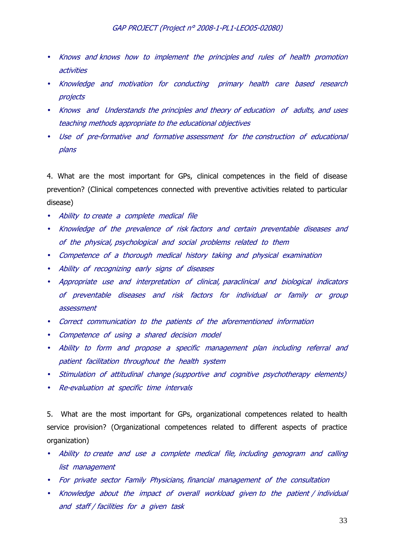- Knows and knows how to implement the principles and rules of health promotion activities
- Knowledge and motivation for conducting primary health care based research projects
- Knows and Understands the principles and theory of education of adults, and uses teaching methods appropriate to the educational objectives
- Use of pre-formative and formative assessment for the construction of educational plans

4. What are the most important for GPs, clinical competences in the field of disease prevention? (Clinical competences connected with preventive activities related to particular disease)

- Ability to create a complete medical file
- Knowledge of the prevalence of risk factors and certain preventable diseases and of the physical, psychological and social problems related to them
- Competence of a thorough medical history taking and physical examination
- Ability of recognizing early signs of diseases
- Appropriate use and interpretation of clinical, paraclinical and biological indicators of preventable diseases and risk factors for individual or family or group assessment
- Correct communication to the patients of the aforementioned information
- Competence of using a shared decision model
- Ability to form and propose a specific management plan including referral and patient facilitation throughout the health system
- Stimulation of attitudinal change (supportive and cognitive psychotherapy elements)
- Re-evaluation at specific time intervals

5. What are the most important for GPs, organizational competences related to health service provision? (Organizational competences related to different aspects of practice organization)

- Ability to create and use a complete medical file, including genogram and calling list management
- For private sector Family Physicians, financial management of the consultation
- Knowledge about the impact of overall workload given to the patient / individual and staff / facilities for a given task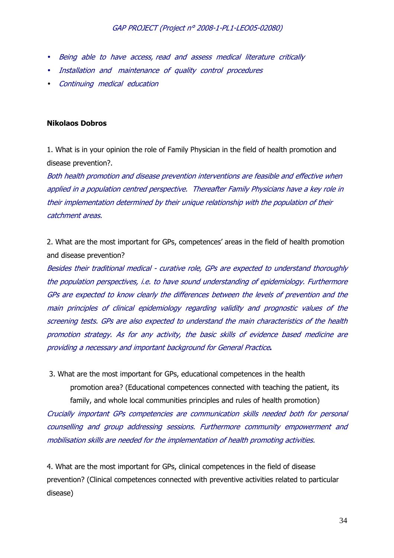- Being able to have access, read and assess medical literature critically
- Installation and maintenance of quality control procedures
- Continuing medical education

#### **Nikolaos Dobros**

1. What is in your opinion the role of Family Physician in the field of health promotion and disease prevention?.

Both health promotion and disease prevention interventions are feasible and effective when applied in a population centred perspective. Thereafter Family Physicians have a key role in their implementation determined by their unique relationship with the population of their catchment areas.

2. What are the most important for GPs, competences' areas in the field of health promotion and disease prevention?

Besides their traditional medical - curative role, GPs are expected to understand thoroughly the population perspectives, i.e. to have sound understanding of epidemiology. Furthermore GPs are expected to know clearly the differences between the levels of prevention and the main principles of clinical epidemiology regarding validity and prognostic values of the screening tests. GPs are also expected to understand the main characteristics of the health promotion strategy. As for any activity, the basic skills of evidence based medicine are providing a necessary and important background for General Practice**.** 

 3. What are the most important for GPs, educational competences in the health promotion area? (Educational competences connected with teaching the patient, its family, and whole local communities principles and rules of health promotion)

Crucially important GPs competencies are communication skills needed both for personal counselling and group addressing sessions. Furthermore community empowerment and mobilisation skills are needed for the implementation of health promoting activities.

4. What are the most important for GPs, clinical competences in the field of disease prevention? (Clinical competences connected with preventive activities related to particular disease)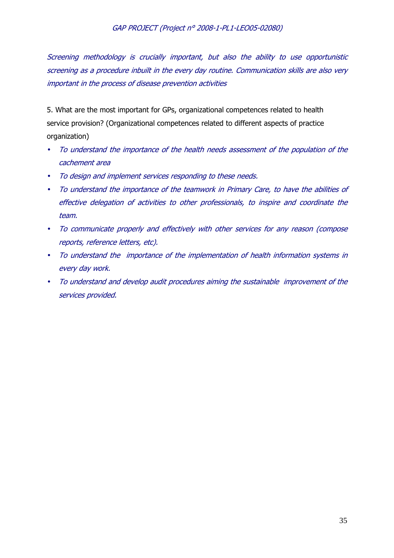Screening methodology is crucially important, but also the ability to use opportunistic screening as a procedure inbuilt in the every day routine. Communication skills are also very important in the process of disease prevention activities

5. What are the most important for GPs, organizational competences related to health service provision? (Organizational competences related to different aspects of practice organization)

- To understand the importance of the health needs assessment of the population of the cachement area
- To design and implement services responding to these needs.
- To understand the importance of the teamwork in Primary Care, to have the abilities of effective delegation of activities to other professionals, to inspire and coordinate the team.
- To communicate properly and effectively with other services for any reason (compose reports, reference letters, etc).
- To understand the importance of the implementation of health information systems in every day work.
- To understand and develop audit procedures aiming the sustainable improvement of the services provided.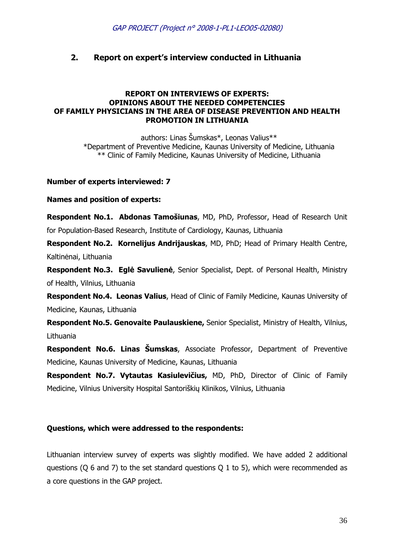# **2. Report on expert's interview conducted in Lithuania**

#### **REPORT ON INTERVIEWS OF EXPERTS: OPINIONS ABOUT THE NEEDED COMPETENCIES OF FAMILY PHYSICIANS IN THE AREA OF DISEASE PREVENTION AND HEALTH PROMOTION IN LITHUANIA**

authors: Linas Šumskas\*, Leonas Valius\*\* \*Department of Preventive Medicine, Kaunas University of Medicine, Lithuania \*\* Clinic of Family Medicine, Kaunas University of Medicine, Lithuania

#### **Number of experts interviewed: 7**

**Names and position of experts:** 

**Respondent No.1. Abdonas Tamošiunas**, MD, PhD, Professor, Head of Research Unit for Population-Based Research, Institute of Cardiology, Kaunas, Lithuania

**Respondent No.2. Kornelijus Andrijauskas**, MD, PhD; Head of Primary Health Centre, Kaltinėnai, Lithuania

**Respondent No.3. Eglė Savulienė**, Senior Specialist, Dept. of Personal Health, Ministry of Health, Vilnius, Lithuania

**Respondent No.4. Leonas Valius**, Head of Clinic of Family Medicine, Kaunas University of Medicine, Kaunas, Lithuania

**Respondent No.5. Genovaite Paulauskiene,** Senior Specialist, Ministry of Health, Vilnius, Lithuania

**Respondent No.6. Linas Šumskas**, Associate Professor, Department of Preventive Medicine, Kaunas University of Medicine, Kaunas, Lithuania

**Respondent No.7. Vytautas Kasiulevičius,** MD, PhD, Director of Clinic of Family Medicine, Vilnius University Hospital Santoriškių Klinikos, Vilnius, Lithuania

#### **Questions, which were addressed to the respondents:**

Lithuanian interview survey of experts was slightly modified. We have added 2 additional questions (Q 6 and 7) to the set standard questions Q 1 to 5), which were recommended as a core questions in the GAP project.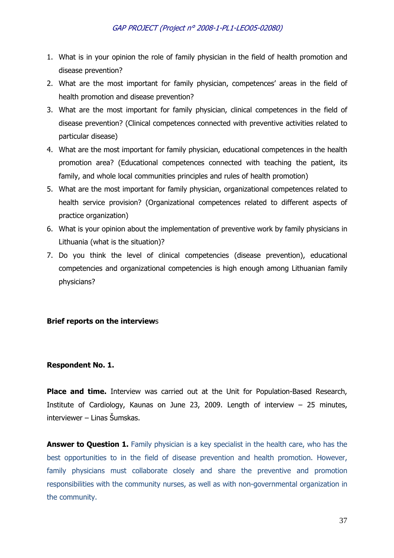- 1. What is in your opinion the role of family physician in the field of health promotion and disease prevention?
- 2. What are the most important for family physician, competences' areas in the field of health promotion and disease prevention?
- 3. What are the most important for family physician, clinical competences in the field of disease prevention? (Clinical competences connected with preventive activities related to particular disease)
- 4. What are the most important for family physician, educational competences in the health promotion area? (Educational competences connected with teaching the patient, its family, and whole local communities principles and rules of health promotion)
- 5. What are the most important for family physician, organizational competences related to health service provision? (Organizational competences related to different aspects of practice organization)
- 6. What is your opinion about the implementation of preventive work by family physicians in Lithuania (what is the situation)?
- 7. Do you think the level of clinical competencies (disease prevention), educational competencies and organizational competencies is high enough among Lithuanian family physicians?

#### **Brief reports on the interview**s

#### **Respondent No. 1.**

Place and time. Interview was carried out at the Unit for Population-Based Research, Institute of Cardiology, Kaunas on June 23, 2009. Length of interview – 25 minutes, interviewer – Linas Šumskas.

**Answer to Question 1.** Family physician is a key specialist in the health care, who has the best opportunities to in the field of disease prevention and health promotion. However, family physicians must collaborate closely and share the preventive and promotion responsibilities with the community nurses, as well as with non-governmental organization in the community.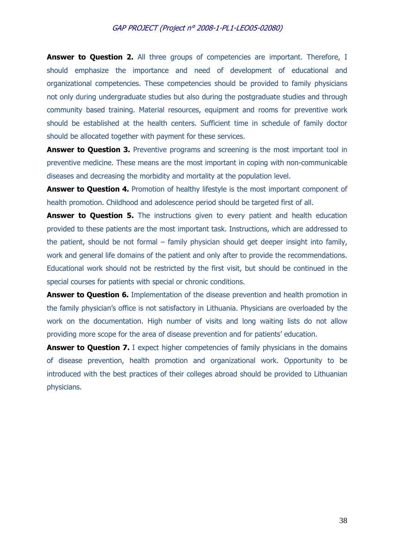**Answer to Question 2.** All three groups of competencies are important. Therefore, I should emphasize the importance and need of development of educational and organizational competencies. These competencies should be provided to family physicians not only during undergraduate studies but also during the postgraduate studies and through community based training. Material resources, equipment and rooms for preventive work should be established at the health centers. Sufficient time in schedule of family doctor should be allocated together with payment for these services.

**Answer to Question 3.** Preventive programs and screening is the most important tool in preventive medicine. These means are the most important in coping with non-communicable diseases and decreasing the morbidity and mortality at the population level.

**Answer to Question 4.** Promotion of healthy lifestyle is the most important component of health promotion. Childhood and adolescence period should be targeted first of all.

**Answer to Question 5.** The instructions given to every patient and health education provided to these patients are the most important task. Instructions, which are addressed to the patient, should be not formal – family physician should get deeper insight into family, work and general life domains of the patient and only after to provide the recommendations. Educational work should not be restricted by the first visit, but should be continued in the special courses for patients with special or chronic conditions.

**Answer to Question 6.** Implementation of the disease prevention and health promotion in the family physician's office is not satisfactory in Lithuania. Physicians are overloaded by the work on the documentation. High number of visits and long waiting lists do not allow providing more scope for the area of disease prevention and for patients' education.

**Answer to Question 7.** I expect higher competencies of family physicians in the domains of disease prevention, health promotion and organizational work. Opportunity to be introduced with the best practices of their colleges abroad should be provided to Lithuanian physicians.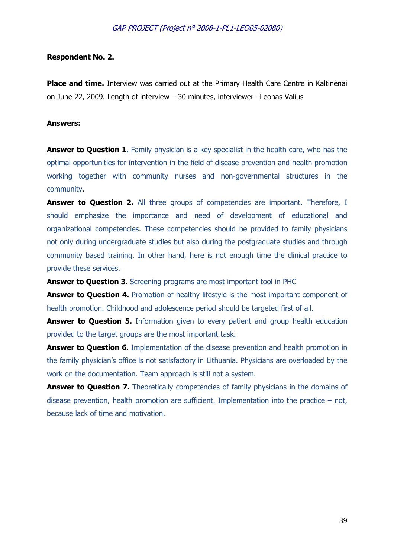#### **Respondent No. 2.**

**Place and time.** Interview was carried out at the Primary Health Care Centre in Kaltinėnai on June 22, 2009. Length of interview – 30 minutes, interviewer –Leonas Valius

#### **Answers:**

**Answer to Question 1.** Family physician is a key specialist in the health care, who has the optimal opportunities for intervention in the field of disease prevention and health promotion working together with community nurses and non-governmental structures in the community.

**Answer to Question 2.** All three groups of competencies are important. Therefore, I should emphasize the importance and need of development of educational and organizational competencies. These competencies should be provided to family physicians not only during undergraduate studies but also during the postgraduate studies and through community based training. In other hand, here is not enough time the clinical practice to provide these services.

**Answer to Question 3.** Screening programs are most important tool in PHC

**Answer to Question 4.** Promotion of healthy lifestyle is the most important component of health promotion. Childhood and adolescence period should be targeted first of all.

**Answer to Question 5.** Information given to every patient and group health education provided to the target groups are the most important task.

**Answer to Question 6.** Implementation of the disease prevention and health promotion in the family physician's office is not satisfactory in Lithuania. Physicians are overloaded by the work on the documentation. Team approach is still not a system.

**Answer to Question 7.** Theoretically competencies of family physicians in the domains of disease prevention, health promotion are sufficient. Implementation into the practice – not, because lack of time and motivation.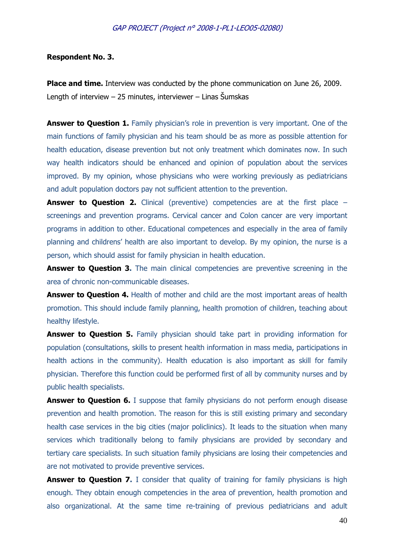#### **Respondent No. 3.**

**Place and time.** Interview was conducted by the phone communication on June 26, 2009. Length of interview – 25 minutes, interviewer – Linas Šumskas

**Answer to Question 1.** Family physician's role in prevention is very important. One of the main functions of family physician and his team should be as more as possible attention for health education, disease prevention but not only treatment which dominates now. In such way health indicators should be enhanced and opinion of population about the services improved. By my opinion, whose physicians who were working previously as pediatricians and adult population doctors pay not sufficient attention to the prevention.

**Answer to Question 2.** Clinical (preventive) competencies are at the first place – screenings and prevention programs. Cervical cancer and Colon cancer are very important programs in addition to other. Educational competences and especially in the area of family planning and childrens' health are also important to develop. By my opinion, the nurse is a person, which should assist for family physician in health education.

**Answer to Question 3.** The main clinical competencies are preventive screening in the area of chronic non-communicable diseases.

**Answer to Question 4.** Health of mother and child are the most important areas of health promotion. This should include family planning, health promotion of children, teaching about healthy lifestyle.

**Answer to Question 5.** Family physician should take part in providing information for population (consultations, skills to present health information in mass media, participations in health actions in the community). Health education is also important as skill for family physician. Therefore this function could be performed first of all by community nurses and by public health specialists.

**Answer to Question 6.** I suppose that family physicians do not perform enough disease prevention and health promotion. The reason for this is still existing primary and secondary health case services in the big cities (major policlinics). It leads to the situation when many services which traditionally belong to family physicians are provided by secondary and tertiary care specialists. In such situation family physicians are losing their competencies and are not motivated to provide preventive services.

**Answer to Question 7.** I consider that quality of training for family physicians is high enough. They obtain enough competencies in the area of prevention, health promotion and also organizational. At the same time re-training of previous pediatricians and adult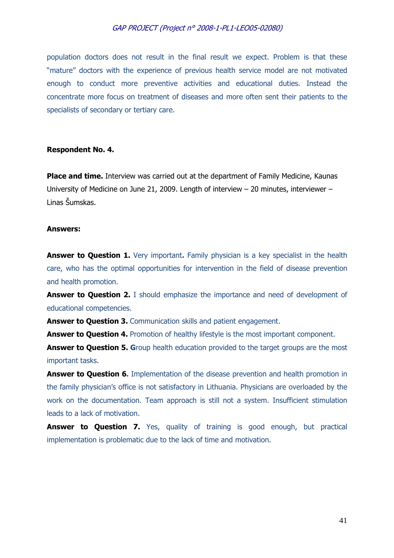population doctors does not result in the final result we expect. Problem is that these "mature" doctors with the experience of previous health service model are not motivated enough to conduct more preventive activities and educational duties. Instead the concentrate more focus on treatment of diseases and more often sent their patients to the specialists of secondary or tertiary care.

#### **Respondent No. 4.**

**Place and time.** Interview was carried out at the department of Family Medicine, Kaunas University of Medicine on June 21, 2009. Length of interview – 20 minutes, interviewer – Linas Šumskas.

#### **Answers:**

**Answer to Question 1.** Very important. Family physician is a key specialist in the health care, who has the optimal opportunities for intervention in the field of disease prevention and health promotion.

**Answer to Question 2.** I should emphasize the importance and need of development of educational competencies.

Answer to Question 3. Communication skills and patient engagement.

**Answer to Question 4.** Promotion of healthy lifestyle is the most important component.

**Answer to Question 5. G**roup health education provided to the target groups are the most important tasks.

**Answer to Question 6.** Implementation of the disease prevention and health promotion in the family physician's office is not satisfactory in Lithuania. Physicians are overloaded by the work on the documentation. Team approach is still not a system. Insufficient stimulation leads to a lack of motivation.

**Answer to Question 7.** Yes, quality of training is good enough, but practical implementation is problematic due to the lack of time and motivation.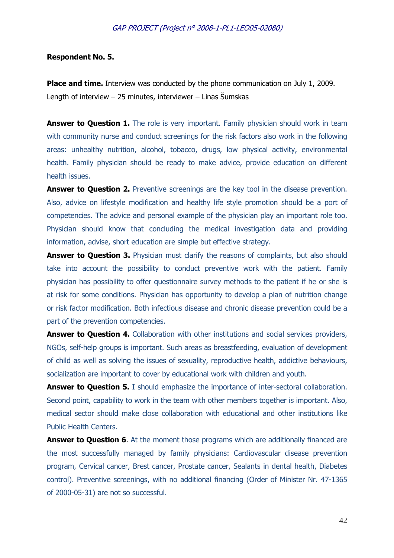#### **Respondent No. 5.**

**Place and time.** Interview was conducted by the phone communication on July 1, 2009. Length of interview – 25 minutes, interviewer – Linas Šumskas

**Answer to Question 1.** The role is very important. Family physician should work in team with community nurse and conduct screenings for the risk factors also work in the following areas: unhealthy nutrition, alcohol, tobacco, drugs, low physical activity, environmental health. Family physician should be ready to make advice, provide education on different health issues.

Answer to Question 2. Preventive screenings are the key tool in the disease prevention. Also, advice on lifestyle modification and healthy life style promotion should be a port of competencies. The advice and personal example of the physician play an important role too. Physician should know that concluding the medical investigation data and providing information, advise, short education are simple but effective strategy.

**Answer to Question 3.** Physician must clarify the reasons of complaints, but also should take into account the possibility to conduct preventive work with the patient. Family physician has possibility to offer questionnaire survey methods to the patient if he or she is at risk for some conditions. Physician has opportunity to develop a plan of nutrition change or risk factor modification. Both infectious disease and chronic disease prevention could be a part of the prevention competencies.

**Answer to Question 4.** Collaboration with other institutions and social services providers, NGOs, self-help groups is important. Such areas as breastfeeding, evaluation of development of child as well as solving the issues of sexuality, reproductive health, addictive behaviours, socialization are important to cover by educational work with children and youth.

Answer to Question 5. I should emphasize the importance of inter-sectoral collaboration. Second point, capability to work in the team with other members together is important. Also, medical sector should make close collaboration with educational and other institutions like Public Health Centers.

**Answer to Question 6.** At the moment those programs which are additionally financed are the most successfully managed by family physicians: Cardiovascular disease prevention program, Cervical cancer, Brest cancer, Prostate cancer, Sealants in dental health, Diabetes control). Preventive screenings, with no additional financing (Order of Minister Nr. 47-1365 of 2000-05-31) are not so successful.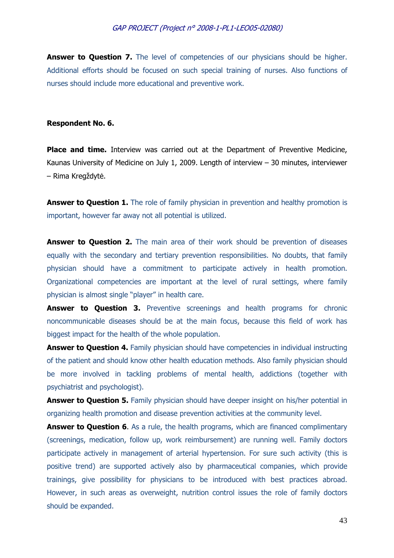**Answer to Question 7.** The level of competencies of our physicians should be higher. Additional efforts should be focused on such special training of nurses. Also functions of nurses should include more educational and preventive work.

#### **Respondent No. 6.**

**Place and time.** Interview was carried out at the Department of Preventive Medicine, Kaunas University of Medicine on July 1, 2009. Length of interview – 30 minutes, interviewer – Rima Kregždytė.

**Answer to Question 1.** The role of family physician in prevention and healthy promotion is important, however far away not all potential is utilized.

**Answer to Question 2.** The main area of their work should be prevention of diseases equally with the secondary and tertiary prevention responsibilities. No doubts, that family physician should have a commitment to participate actively in health promotion. Organizational competencies are important at the level of rural settings, where family physician is almost single "player" in health care.

**Answer to Question 3.** Preventive screenings and health programs for chronic noncommunicable diseases should be at the main focus, because this field of work has biggest impact for the health of the whole population.

**Answer to Question 4.** Family physician should have competencies in individual instructing of the patient and should know other health education methods. Also family physician should be more involved in tackling problems of mental health, addictions (together with psychiatrist and psychologist).

**Answer to Question 5.** Family physician should have deeper insight on his/her potential in organizing health promotion and disease prevention activities at the community level.

**Answer to Question 6.** As a rule, the health programs, which are financed complimentary (screenings, medication, follow up, work reimbursement) are running well. Family doctors participate actively in management of arterial hypertension. For sure such activity (this is positive trend) are supported actively also by pharmaceutical companies, which provide trainings, give possibility for physicians to be introduced with best practices abroad. However, in such areas as overweight, nutrition control issues the role of family doctors should be expanded.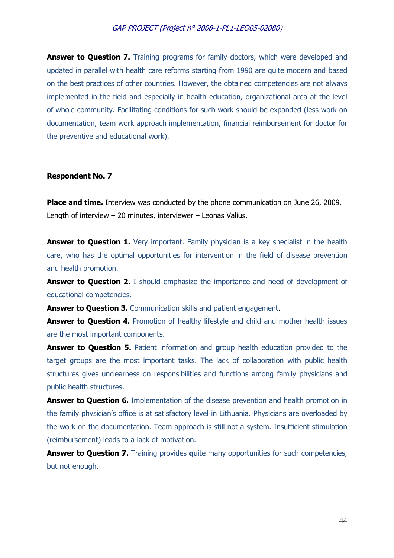**Answer to Question 7.** Training programs for family doctors, which were developed and updated in parallel with health care reforms starting from 1990 are quite modern and based on the best practices of other countries. However, the obtained competencies are not always implemented in the field and especially in health education, organizational area at the level of whole community. Facilitating conditions for such work should be expanded (less work on documentation, team work approach implementation, financial reimbursement for doctor for the preventive and educational work).

#### **Respondent No. 7**

**Place and time.** Interview was conducted by the phone communication on June 26, 2009. Length of interview – 20 minutes, interviewer – Leonas Valius.

**Answer to Question 1.** Very important. Family physician is a key specialist in the health care, who has the optimal opportunities for intervention in the field of disease prevention and health promotion.

**Answer to Question 2.** I should emphasize the importance and need of development of educational competencies.

Answer to Question 3. Communication skills and patient engagement.

**Answer to Question 4.** Promotion of healthy lifestyle and child and mother health issues are the most important components.

**Answer to Question 5.** Patient information and **group health education provided to the** target groups are the most important tasks. The lack of collaboration with public health structures gives unclearness on responsibilities and functions among family physicians and public health structures.

**Answer to Question 6.** Implementation of the disease prevention and health promotion in the family physician's office is at satisfactory level in Lithuania. Physicians are overloaded by the work on the documentation. Team approach is still not a system. Insufficient stimulation (reimbursement) leads to a lack of motivation.

**Answer to Question 7.** Training provides quite many opportunities for such competencies, but not enough.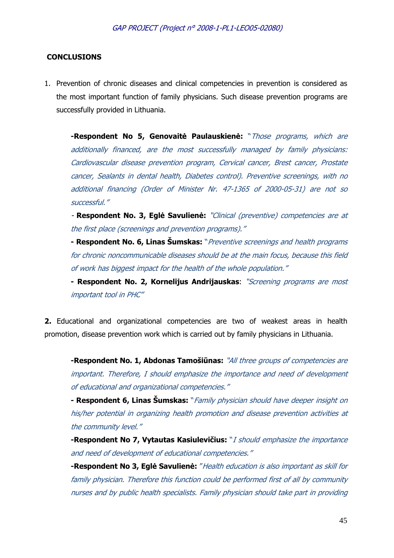#### **CONCLUSIONS**

1. Prevention of chronic diseases and clinical competencies in prevention is considered as the most important function of family physicians. Such disease prevention programs are successfully provided in Lithuania.

**-Respondent No 5, Genovaitė Paulauskienė:** "Those programs, which are additionally financed, are the most successfully managed by family physicians: Cardiovascular disease prevention program, Cervical cancer, Brest cancer, Prostate cancer, Sealants in dental health, Diabetes control). Preventive screenings, with no additional financing (Order of Minister Nr. 47-1365 of 2000-05-31) are not so successful."

- **Respondent No. 3, Eglė Savulienė:** "Clinical (preventive) competencies are at the first place (screenings and prevention programs)."

**- Respondent No. 6, Linas Šumskas:** "Preventive screenings and health programs for chronic noncommunicable diseases should be at the main focus, because this field of work has biggest impact for the health of the whole population."

**- Respondent No. 2, Kornelijus Andrijauskas**: "Screening programs are most important tool in PHC"

**2.** Educational and organizational competencies are two of weakest areas in health promotion, disease prevention work which is carried out by family physicians in Lithuania.

**-Respondent No. 1, Abdonas Tamošiūnas:** "All three groups of competencies are important. Therefore, I should emphasize the importance and need of development of educational and organizational competencies."

**- Respondent 6, Linas Šumskas:** "Family physician should have deeper insight on his/her potential in organizing health promotion and disease prevention activities at the community level."

**-Respondent No 7, Vytautas Kasiulevičius:** "I should emphasize the importance and need of development of educational competencies."

**-Respondent No 3, Eglė Savulienė:** "Health education is also important as skill for family physician. Therefore this function could be performed first of all by community nurses and by public health specialists. Family physician should take part in providing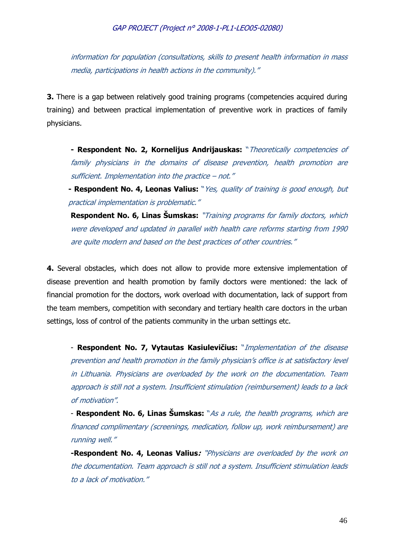information for population (consultations, skills to present health information in mass media, participations in health actions in the community)."

**3.** There is a gap between relatively good training programs (competencies acquired during training) and between practical implementation of preventive work in practices of family physicians.

**- Respondent No. 2, Kornelijus Andrijauskas:** "Theoretically competencies of family physicians in the domains of disease prevention, health promotion are sufficient. Implementation into the practice – not."

**- Respondent No. 4, Leonas Valius:** "Yes, quality of training is good enough, but practical implementation is problematic."

**Respondent No. 6, Linas Šumskas:** "Training programs for family doctors, which were developed and updated in parallel with health care reforms starting from 1990 are quite modern and based on the best practices of other countries."

**4.** Several obstacles, which does not allow to provide more extensive implementation of disease prevention and health promotion by family doctors were mentioned: the lack of financial promotion for the doctors, work overload with documentation, lack of support from the team members, competition with secondary and tertiary health care doctors in the urban settings, loss of control of the patients community in the urban settings etc.

- **Respondent No. 7, Vytautas Kasiulevičius:** "Implementation of the disease prevention and health promotion in the family physician's office is at satisfactory level in Lithuania. Physicians are overloaded by the work on the documentation. Team approach is still not a system. Insufficient stimulation (reimbursement) leads to a lack of motivation".

- **Respondent No. 6, Linas Šumskas:** "As a rule, the health programs, which are financed complimentary (screenings, medication, follow up, work reimbursement) are running well."

**-Respondent No. 4, Leonas Valius:** "Physicians are overloaded by the work on the documentation. Team approach is still not a system. Insufficient stimulation leads to a lack of motivation."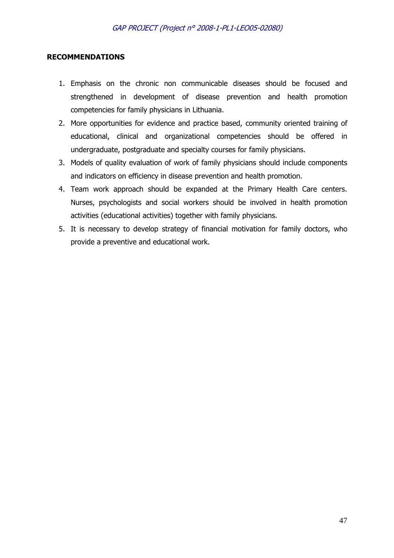#### **RECOMMENDATIONS**

- 1. Emphasis on the chronic non communicable diseases should be focused and strengthened in development of disease prevention and health promotion competencies for family physicians in Lithuania.
- 2. More opportunities for evidence and practice based, community oriented training of educational, clinical and organizational competencies should be offered in undergraduate, postgraduate and specialty courses for family physicians.
- 3. Models of quality evaluation of work of family physicians should include components and indicators on efficiency in disease prevention and health promotion.
- 4. Team work approach should be expanded at the Primary Health Care centers. Nurses, psychologists and social workers should be involved in health promotion activities (educational activities) together with family physicians.
- 5. It is necessary to develop strategy of financial motivation for family doctors, who provide a preventive and educational work.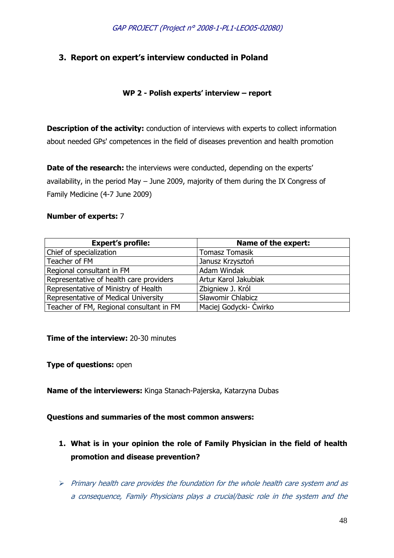# **3. Report on expert's interview conducted in Poland**

# **WP 2 - Polish experts' interview – report**

**Description of the activity:** conduction of interviews with experts to collect information about needed GPs' competences in the field of diseases prevention and health promotion

**Date of the research:** the interviews were conducted, depending on the experts' availability, in the period May – June 2009, majority of them during the IX Congress of Family Medicine (4-7 June 2009)

#### **Number of experts:** 7

| <b>Expert's profile:</b>                 | Name of the expert:    |
|------------------------------------------|------------------------|
| Chief of specialization                  | <b>Tomasz Tomasik</b>  |
| Teacher of FM                            | Janusz Krzysztoń       |
| Regional consultant in FM                | Adam Windak            |
| Representative of health care providers  | Artur Karol Jakubiak   |
| Representative of Ministry of Health     | Zbigniew J. Król       |
| Representative of Medical University     | Sławomir Chlabicz      |
| Teacher of FM, Regional consultant in FM | Maciej Godycki- Ćwirko |

#### **Time of the interview: 20-30 minutes**

**Type of questions:** open

**Name of the interviewers:** Kinga Stanach-Pajerska, Katarzyna Dubas

### **Questions and summaries of the most common answers:**

- **1. What is in your opinion the role of Family Physician in the field of health promotion and disease prevention?**
- $\triangleright$  Primary health care provides the foundation for the whole health care system and as a consequence, Family Physicians plays a crucial/basic role in the system and the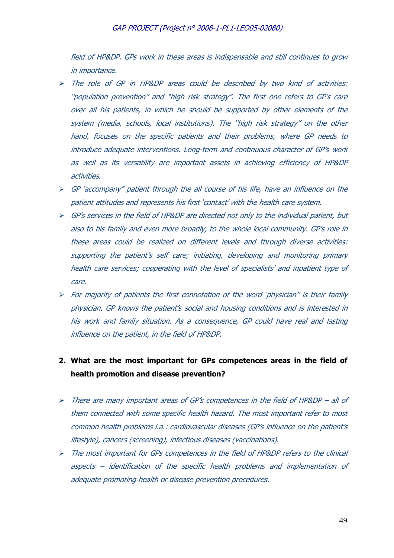field of HP&DP. GPs work in these areas is indispensable and still continues to grow in importance.

- The role of GP in HP&DP areas could be described by two kind of activities: "population prevention" and "high risk strategy". The first one refers to GP's care over all his patients, in which he should be supported by other elements of the system (media, schools, local institutions). The "high risk strategy" on the other hand, focuses on the specific patients and their problems, where GP needs to introduce adequate interventions. Long-term and continuous character of GP's work as well as its versatility are important assets in achieving efficiency of HP&DP activities.
- $\triangleright$  GP 'accompany" patient through the all course of his life, have an influence on the patient attitudes and represents his first 'contact' with the health care system.
- GP's services in the field of HP&DP are directed not only to the individual patient, but also to his family and even more broadly, to the whole local community. GP's role in these areas could be realized on different levels and through diverse activities: supporting the patient's self care; initiating, developing and monitoring primary health care services; cooperating with the level of specialists' and inpatient type of care.
- $\triangleright$  For majority of patients the first connotation of the word 'physician" is their family physician. GP knows the patient's social and housing conditions and is interested in his work and family situation. As a consequence, GP could have real and lasting influence on the patient, in the field of HP&DP.
- **2. What are the most important for GPs competences areas in the field of health promotion and disease prevention?**
- There are many important areas of GP's competences in the field of HP&DP all of them connected with some specific health hazard. The most important refer to most common health problems i.a.: cardiovascular diseases (GP's influence on the patient's lifestyle), cancers (screening), infectious diseases (vaccinations).
- The most important for GPs competences in the field of HP&DP refers to the clinical aspects – identification of the specific health problems and implementation of adequate promoting health or disease prevention procedures.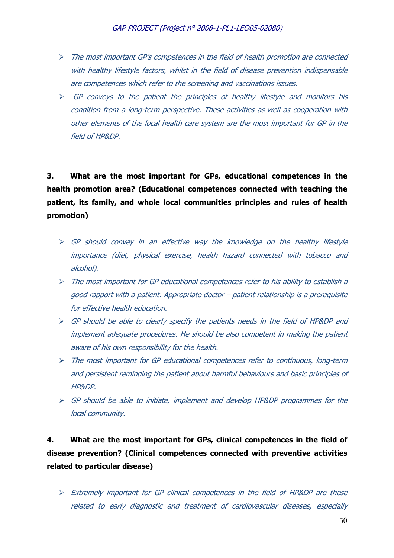- $\triangleright$  The most important GP's competences in the field of health promotion are connected with healthy lifestyle factors, whilst in the field of disease prevention indispensable are competences which refer to the screening and vaccinations issues.
- $\triangleright$  GP conveys to the patient the principles of healthy lifestyle and monitors his condition from a long-term perspective. These activities as well as cooperation with other elements of the local health care system are the most important for GP in the field of HP&DP.

**3. What are the most important for GPs, educational competences in the health promotion area? (Educational competences connected with teaching the patient, its family, and whole local communities principles and rules of health promotion)** 

- $\triangleright$  GP should convey in an effective way the knowledge on the healthy lifestyle importance (diet, physical exercise, health hazard connected with tobacco and alcohol).
- The most important for GP educational competences refer to his ability to establish a good rapport with a patient. Appropriate doctor – patient relationship is a prerequisite for effective health education.
- GP should be able to clearly specify the patients needs in the field of HP&DP and implement adequate procedures. He should be also competent in making the patient aware of his own responsibility for the health.
- $\triangleright$  The most important for GP educational competences refer to continuous, long-term and persistent reminding the patient about harmful behaviours and basic principles of HP&DP.
- $\triangleright$  GP should be able to initiate, implement and develop HP&DP programmes for the local community.

# **4. What are the most important for GPs, clinical competences in the field of disease prevention? (Clinical competences connected with preventive activities related to particular disease)**

 Extremely important for GP clinical competences in the field of HP&DP are those related to early diagnostic and treatment of cardiovascular diseases, especially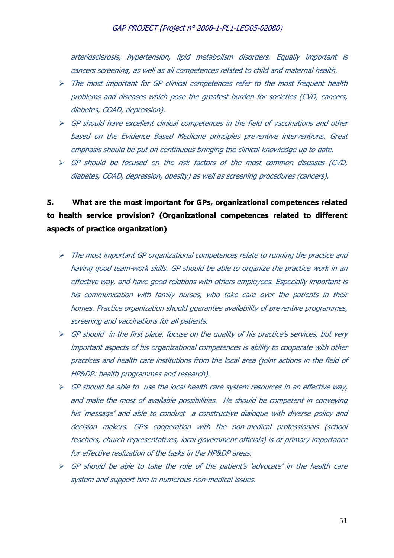arteriosclerosis, hypertension, lipid metabolism disorders. Equally important is cancers screening, as well as all competences related to child and maternal health.

- $\triangleright$  The most important for GP clinical competences refer to the most frequent health problems and diseases which pose the greatest burden for societies (CVD, cancers, diabetes, COAD, depression).
- $\triangleright$  GP should have excellent clinical competences in the field of vaccinations and other based on the Evidence Based Medicine principles preventive interventions. Great emphasis should be put on continuous bringing the clinical knowledge up to date.
- GP should be focused on the risk factors of the most common diseases (CVD, diabetes, COAD, depression, obesity) as well as screening procedures (cancers).

# **5. What are the most important for GPs, organizational competences related to health service provision? (Organizational competences related to different aspects of practice organization)**

- $\triangleright$  The most important GP organizational competences relate to running the practice and having good team-work skills. GP should be able to organize the practice work in an effective way, and have good relations with others employees. Especially important is his communication with family nurses, who take care over the patients in their homes. Practice organization should guarantee availability of preventive programmes, screening and vaccinations for all patients.
- $\triangleright$  GP should in the first place. focuse on the quality of his practice's services, but very important aspects of his organizational competences is ability to cooperate with other practices and health care institutions from the local area (joint actions in the field of HP&DP: health programmes and research).
- $\triangleright$  GP should be able to use the local health care system resources in an effective way, and make the most of available possibilities. He should be competent in conveying his 'message' and able to conduct a constructive dialogue with diverse policy and decision makers. GP's cooperation with the non-medical professionals (school teachers, church representatives, local government officials) is of primary importance for effective realization of the tasks in the HP&DP areas.
- $\triangleright$  GP should be able to take the role of the patient's 'advocate' in the health care system and support him in numerous non-medical issues.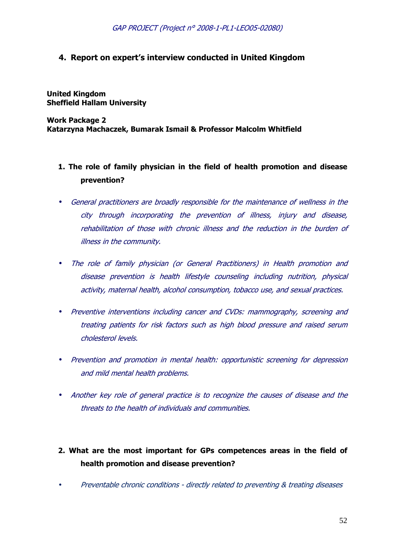# **4. Report on expert's interview conducted in United Kingdom**

**United Kingdom Sheffield Hallam University** 

**Work Package 2 Katarzyna Machaczek, Bumarak Ismail & Professor Malcolm Whitfield** 

- **1. The role of family physician in the field of health promotion and disease prevention?**
- General practitioners are broadly responsible for the maintenance of wellness in the city through incorporating the prevention of illness, injury and disease, rehabilitation of those with chronic illness and the reduction in the burden of illness in the community.
- The role of family physician (or General Practitioners) in Health promotion and disease prevention is health lifestyle counseling including nutrition, physical activity, maternal health, alcohol consumption, tobacco use, and sexual practices.
- Preventive interventions including cancer and CVDs: mammography, screening and treating patients for risk factors such as high blood pressure and raised serum cholesterol levels.
- Prevention and promotion in mental health: opportunistic screening for depression and mild mental health problems.
- Another key role of general practice is to recognize the causes of disease and the threats to the health of individuals and communities.
- **2. What are the most important for GPs competences areas in the field of health promotion and disease prevention?**
- Preventable chronic conditions directly related to preventing & treating diseases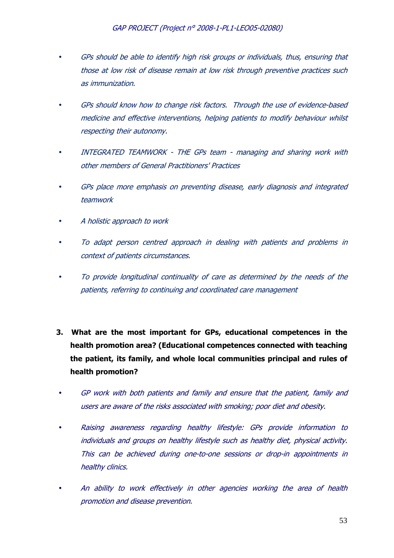- GPs should be able to identify high risk groups or individuals, thus, ensuring that those at low risk of disease remain at low risk through preventive practices such as immunization.
- GPs should know how to change risk factors. Through the use of evidence-based medicine and effective interventions, helping patients to modify behaviour whilst respecting their autonomy.
- INTEGRATED TEAMWORK THE GPs team managing and sharing work with other members of General Practitioners' Practices
- GPs place more emphasis on preventing disease, early diagnosis and integrated teamwork
- A holistic approach to work
- To adapt person centred approach in dealing with patients and problems in context of patients circumstances.
- To provide longitudinal continuality of care as determined by the needs of the patients, referring to continuing and coordinated care management
- **3. What are the most important for GPs, educational competences in the health promotion area? (Educational competences connected with teaching the patient, its family, and whole local communities principal and rules of health promotion?**
- GP work with both patients and family and ensure that the patient, family and users are aware of the risks associated with smoking; poor diet and obesity.
- Raising awareness regarding healthy lifestyle: GPs provide information to individuals and groups on healthy lifestyle such as healthy diet, physical activity. This can be achieved during one-to-one sessions or drop-in appointments in healthy clinics.
- An ability to work effectively in other agencies working the area of health promotion and disease prevention.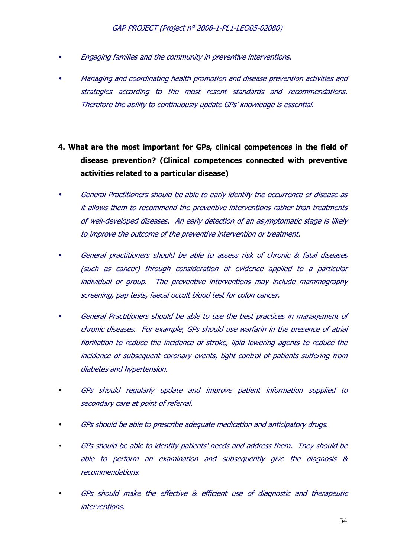- Engaging families and the community in preventive interventions.
- Managing and coordinating health promotion and disease prevention activities and strategies according to the most resent standards and recommendations. Therefore the ability to continuously update GPs' knowledge is essential.
- **4. What are the most important for GPs, clinical competences in the field of disease prevention? (Clinical competences connected with preventive activities related to a particular disease)**
- General Practitioners should be able to early identify the occurrence of disease as it allows them to recommend the preventive interventions rather than treatments of well-developed diseases. An early detection of an asymptomatic stage is likely to improve the outcome of the preventive intervention or treatment.
- General practitioners should be able to assess risk of chronic & fatal diseases (such as cancer) through consideration of evidence applied to a particular individual or group. The preventive interventions may include mammography screening, pap tests, faecal occult blood test for colon cancer.
- General Practitioners should be able to use the best practices in management of chronic diseases. For example, GPs should use warfarin in the presence of atrial fibrillation to reduce the incidence of stroke, lipid lowering agents to reduce the incidence of subsequent coronary events, tight control of patients suffering from diabetes and hypertension.
- GPs should regularly update and improve patient information supplied to secondary care at point of referral.
- GPs should be able to prescribe adequate medication and anticipatory drugs.
- GPs should be able to identify patients' needs and address them. They should be able to perform an examination and subsequently give the diagnosis & recommendations.
- GPs should make the effective & efficient use of diagnostic and therapeutic interventions.